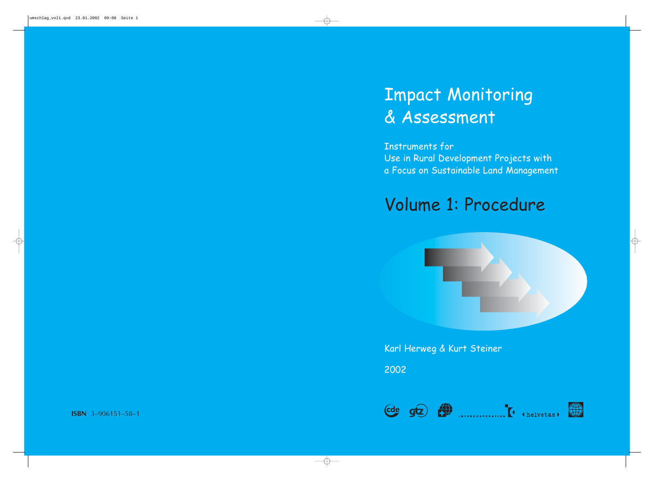# Impact Monitoring & Assessment

Instruments for Use in Rural Development Projects with a Focus on Sustainable Land Management

# Volume 1: Procedure



Karl Herweg & Kurt Steiner

2002



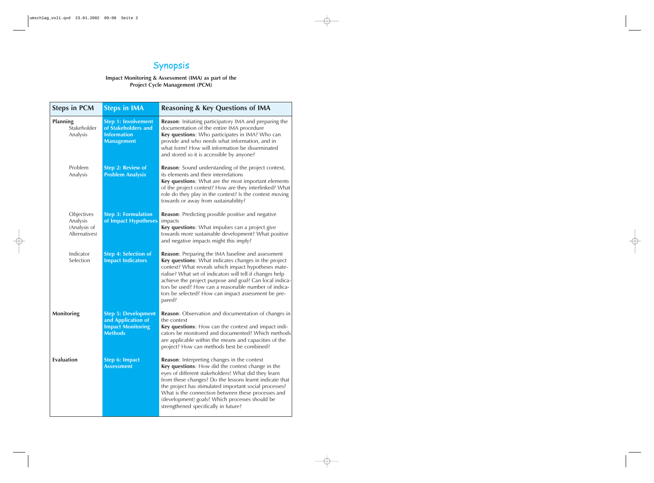# Synopsis

#### Impact Monitoring & Assessment (IMA) as part of the Project Cycle Management (PCM)

| <b>Steps in PCM</b>                                     | <b>Steps in IMA</b>                                                                            | <b>Reasoning &amp; Key Questions of IMA</b>                                                                                                                                                                                                                                                                                                                                                                                        |
|---------------------------------------------------------|------------------------------------------------------------------------------------------------|------------------------------------------------------------------------------------------------------------------------------------------------------------------------------------------------------------------------------------------------------------------------------------------------------------------------------------------------------------------------------------------------------------------------------------|
| <b>Planning</b><br>Stakeholder<br>Analysis              | <b>Step 1: Involvement</b><br>of Stakeholders and<br><b>Information</b><br><b>Management</b>   | <b>Reason:</b> Initiating participatory IMA and preparing the<br>documentation of the entire IMA procedure<br>Key questions: Who participates in IMA? Who can<br>provide and who needs what information, and in<br>what form? How will information be disseminated<br>and stored so it is accessible by anyone?                                                                                                                    |
| Problem<br>Analysis                                     | Step 2: Review of<br><b>Problem Analysis</b>                                                   | <b>Reason:</b> Sound understanding of the project context,<br>its elements and their interrelations<br>Key questions: What are the most important elements<br>of the project context? How are they interlinked? What<br>role do they play in the context? Is the context moving<br>towards or away from sustainability?                                                                                                            |
| Objectives<br>Analysis<br>(Analysis of<br>Alternatives) | <b>Step 3: Formulation</b><br>of Impact Hypotheses                                             | <b>Reason:</b> Predicting possible positive and negative<br>impacts<br>Key questions: What impulses can a project give<br>towards more sustainable development? What positive<br>and negative impacts might this imply?                                                                                                                                                                                                            |
| Indicator<br>Selection                                  | <b>Step 4: Selection of</b><br><b>Impact Indicators</b>                                        | <b>Reason:</b> Preparing the IMA baseline and assessment<br>Key questions: What indicates changes in the project<br>context? What reveals which impact hypotheses mate-<br>rialise? What set of indicators will tell if changes help<br>achieve the project purpose and goal? Can local indica-<br>tors be used? How can a reasonable number of indica-<br>tors be selected? How can impact assessment be pre-<br>pared?           |
| <b>Monitoring</b>                                       | <b>Step 5: Development</b><br>and Application of<br><b>Impact Monitoring</b><br><b>Methods</b> | <b>Reason:</b> Observation and documentation of changes in<br>the context<br>Key questions: How can the context and impact indi-<br>cators be monitored and documented? Which methods<br>are applicable within the means and capacities of the<br>project? How can methods best be combined?                                                                                                                                       |
| <b>Evaluation</b>                                       | Step 6: Impact<br><b>Assessment</b>                                                            | <b>Reason:</b> Interpreting changes in the context<br>Key questions: How did the context change in the<br>eyes of different stakeholders? What did they learn<br>from these changes? Do the lessons learnt indicate that<br>the project has stimulated important social processes?<br>What is the connection between these processes and<br>(development) goals? Which processes should be<br>strengthened specifically in future? |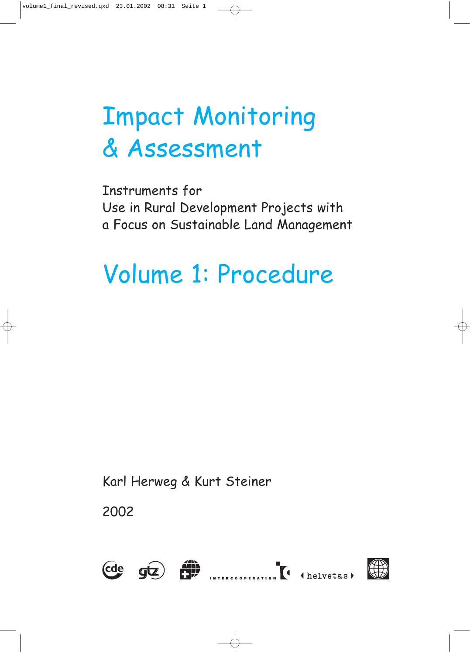# Impact Monitoring & Assessment

Instruments for Use in Rural Development Projects with a Focus on Sustainable Land Management

# Volume 1: Procedure

Karl Herweg & Kurt Steiner

2002



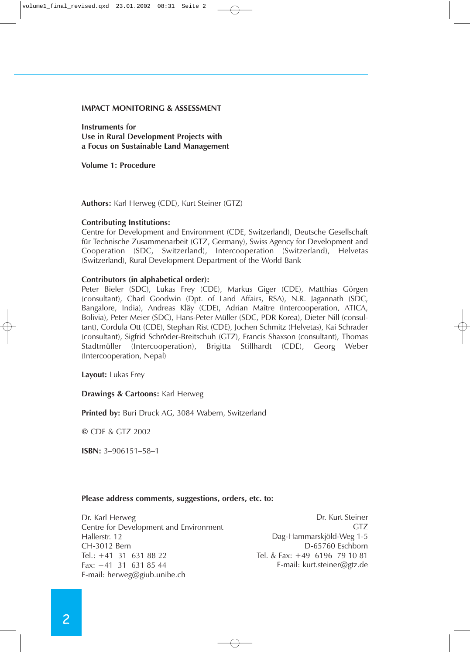#### IMPACT MONITORING & ASSESSMENT

Instruments for Use in Rural Development Projects with a Focus on Sustainable Land Management

Volume 1: Procedure

Authors: Karl Herweg (CDE), Kurt Steiner (GTZ)

#### Contributing Institutions:

Centre for Development and Environment (CDE, Switzerland), Deutsche Gesellschaft für Technische Zusammenarbeit (GTZ, Germany), Swiss Agency for Development and Cooperation (SDC, Switzerland), Intercooperation (Switzerland), Helvetas (Switzerland), Rural Development Department of the World Bank

#### Contributors (in alphabetical order):

Peter Bieler (SDC), Lukas Frey (CDE), Markus Giger (CDE), Matthias Görgen (consultant), Charl Goodwin (Dpt. of Land Affairs, RSA), N.R. Jagannath (SDC, Bangalore, India), Andreas Kläy (CDE), Adrian Maître (Intercooperation, ATICA, Bolivia), Peter Meier (SDC), Hans-Peter Müller (SDC, PDR Korea), Dieter Nill (consultant), Cordula Ott (CDE), Stephan Rist (CDE), Jochen Schmitz (Helvetas), Kai Schrader (consultant), Sigfrid Schröder-Breitschuh (GTZ), Francis Shaxson (consultant), Thomas Stadtmüller (Intercooperation), Brigitta Stillhardt (CDE), Georg Weber (Intercooperation, Nepal)

Layout: Lukas Frey

Drawings & Cartoons: Karl Herweg

Printed by: Buri Druck AG, 3084 Wabern, Switzerland

© CDE & GTZ 2002

ISBN: 3–906151–58–1

#### Please address comments, suggestions, orders, etc. to:

Dr. Karl Herweg Centre for Development and Environment Hallerstr. 12 CH-3012 Bern Tel.: +41 31 631 88 22 Fax: +41 31 631 85 44 E-mail: herweg@giub.unibe.ch

Dr. Kurt Steiner GTZ Dag-Hammarskjöld-Weg 1-5 D-65760 Eschborn Tel. & Fax: +49 6196 79 10 81 E-mail: kurt.steiner@gtz.de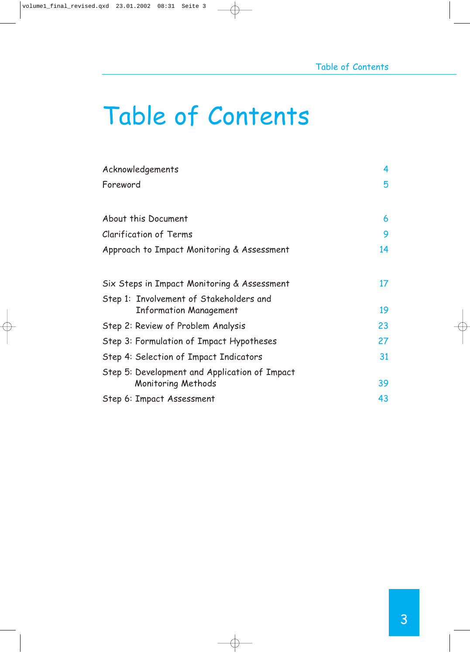# Table of Contents

| Acknowledgements                                                           | 4  |
|----------------------------------------------------------------------------|----|
| Foreword                                                                   | 5  |
| About this Document                                                        | 6  |
| <b>Clarification of Terms</b>                                              | 9  |
| Approach to Impact Monitoring & Assessment                                 | 14 |
| Six Steps in Impact Monitoring & Assessment                                | 17 |
| Step 1: Involvement of Stakeholders and<br><b>Information Management</b>   | 19 |
| Step 2: Review of Problem Analysis                                         | 23 |
| Step 3: Formulation of Impact Hypotheses                                   | 27 |
| Step 4: Selection of Impact Indicators                                     | 31 |
| Step 5: Development and Application of Impact<br><b>Monitoring Methods</b> | 39 |
| Step 6: Impact Assessment                                                  | 43 |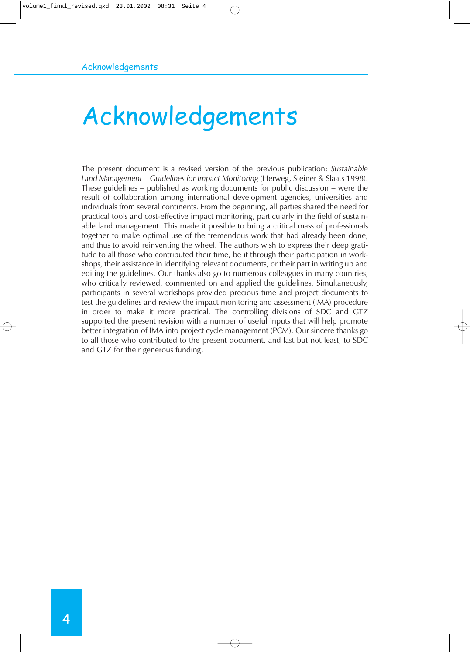# Acknowledgements

The present document is a revised version of the previous publication: Sustainable Land Management – Guidelines for Impact Monitoring (Herweg, Steiner & Slaats 1998). These guidelines – published as working documents for public discussion – were the result of collaboration among international development agencies, universities and individuals from several continents. From the beginning, all parties shared the need for practical tools and cost-effective impact monitoring, particularly in the field of sustainable land management. This made it possible to bring a critical mass of professionals together to make optimal use of the tremendous work that had already been done, and thus to avoid reinventing the wheel. The authors wish to express their deep gratitude to all those who contributed their time, be it through their participation in workshops, their assistance in identifying relevant documents, or their part in writing up and editing the guidelines. Our thanks also go to numerous colleagues in many countries, who critically reviewed, commented on and applied the guidelines. Simultaneously, participants in several workshops provided precious time and project documents to test the guidelines and review the impact monitoring and assessment (IMA) procedure in order to make it more practical. The controlling divisions of SDC and GTZ supported the present revision with a number of useful inputs that will help promote better integration of IMA into project cycle management (PCM). Our sincere thanks go to all those who contributed to the present document, and last but not least, to SDC and GTZ for their generous funding.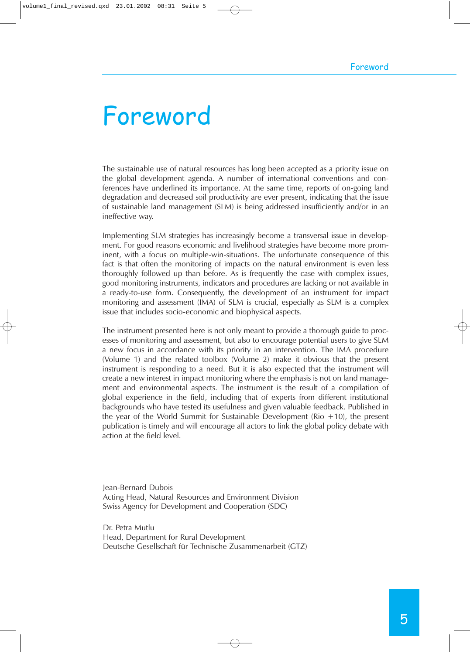# Foreword

The sustainable use of natural resources has long been accepted as a priority issue on the global development agenda. A number of international conventions and conferences have underlined its importance. At the same time, reports of on-going land degradation and decreased soil productivity are ever present, indicating that the issue of sustainable land management (SLM) is being addressed insufficiently and/or in an ineffective way.

Implementing SLM strategies has increasingly become a transversal issue in development. For good reasons economic and livelihood strategies have become more prominent, with a focus on multiple-win-situations. The unfortunate consequence of this fact is that often the monitoring of impacts on the natural environment is even less thoroughly followed up than before. As is frequently the case with complex issues, good monitoring instruments, indicators and procedures are lacking or not available in a ready-to-use form. Consequently, the development of an instrument for impact monitoring and assessment (IMA) of SLM is crucial, especially as SLM is a complex issue that includes socio-economic and biophysical aspects.

The instrument presented here is not only meant to provide a thorough guide to processes of monitoring and assessment, but also to encourage potential users to give SLM a new focus in accordance with its priority in an intervention. The IMA procedure (Volume 1) and the related toolbox (Volume 2) make it obvious that the present instrument is responding to a need. But it is also expected that the instrument will create a new interest in impact monitoring where the emphasis is not on land management and environmental aspects. The instrument is the result of a compilation of global experience in the field, including that of experts from different institutional backgrounds who have tested its usefulness and given valuable feedback. Published in the year of the World Summit for Sustainable Development (Rio  $+10$ ), the present publication is timely and will encourage all actors to link the global policy debate with action at the field level.

Jean-Bernard Dubois Acting Head, Natural Resources and Environment Division Swiss Agency for Development and Cooperation (SDC)

Dr. Petra Mutlu Head, Department for Rural Development Deutsche Gesellschaft für Technische Zusammenarbeit (GTZ)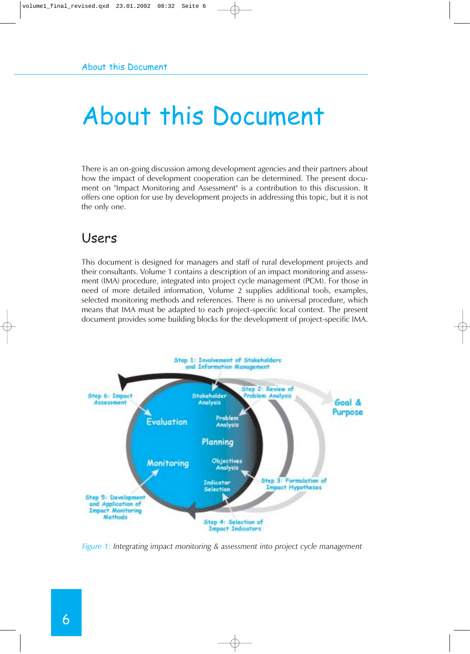# About this Document

There is an on-going discussion among development agencies and their partners about how the impact of development cooperation can be determined. The present document on "Impact Monitoring and Assessment" is a contribution to this discussion. It offers one option for use by development projects in addressing this topic, but it is not the only one.

#### Users

This document is designed for managers and staff of rural development projects and their consultants. Volume 1 contains a description of an impact monitoring and assessment (IMA) procedure, integrated into project cycle management (PCM). For those in need of more detailed information, Volume 2 supplies additional tools, examples, selected monitoring methods and references. There is no universal procedure, which means that IMA must be adapted to each project-specific local context. The present document provides some building blocks for the development of project-specific IMA.



Figure 1: Integrating impact monitoring & assessment into project cycle management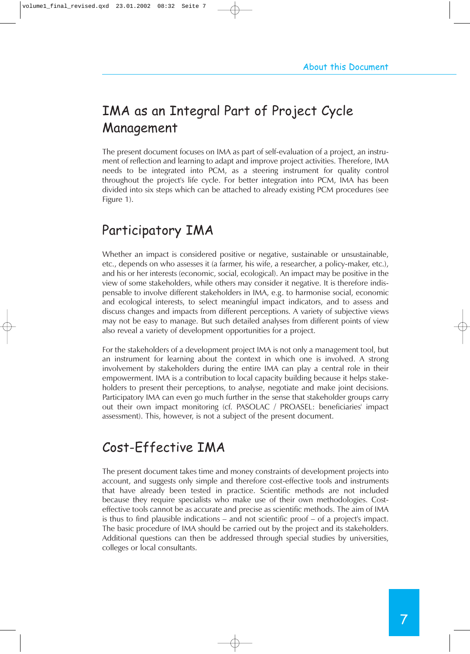### IMA as an Integral Part of Project Cycle Management

The present document focuses on IMA as part of self-evaluation of a project, an instrument of reflection and learning to adapt and improve project activities. Therefore, IMA needs to be integrated into PCM, as a steering instrument for quality control throughout the project's life cycle. For better integration into PCM, IMA has been divided into six steps which can be attached to already existing PCM procedures (see Figure 1).

### Participatory IMA

Whether an impact is considered positive or negative, sustainable or unsustainable, etc., depends on who assesses it (a farmer, his wife, a researcher, a policy-maker, etc.), and his or her interests (economic, social, ecological). An impact may be positive in the view of some stakeholders, while others may consider it negative. It is therefore indispensable to involve different stakeholders in IMA, e.g. to harmonise social, economic and ecological interests, to select meaningful impact indicators, and to assess and discuss changes and impacts from different perceptions. A variety of subjective views may not be easy to manage. But such detailed analyses from different points of view also reveal a variety of development opportunities for a project.

For the stakeholders of a development project IMA is not only a management tool, but an instrument for learning about the context in which one is involved. A strong involvement by stakeholders during the entire IMA can play a central role in their empowerment. IMA is a contribution to local capacity building because it helps stakeholders to present their perceptions, to analyse, negotiate and make joint decisions. Participatory IMA can even go much further in the sense that stakeholder groups carry out their own impact monitoring (cf. PASOLAC / PROASEL: beneficiaries' impact assessment). This, however, is not a subject of the present document.

### Cost-Effective IMA

The present document takes time and money constraints of development projects into account, and suggests only simple and therefore cost-effective tools and instruments that have already been tested in practice. Scientific methods are not included because they require specialists who make use of their own methodologies. Costeffective tools cannot be as accurate and precise as scientific methods. The aim of IMA is thus to find plausible indications – and not scientific proof – of a project's impact. The basic procedure of IMA should be carried out by the project and its stakeholders. Additional questions can then be addressed through special studies by universities, colleges or local consultants.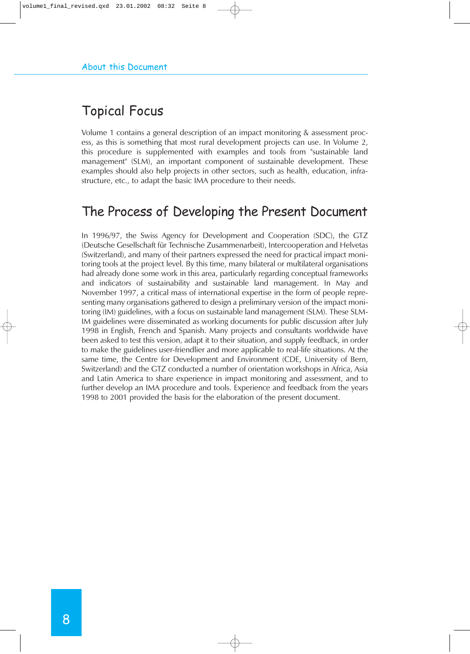#### Topical Focus

Volume 1 contains a general description of an impact monitoring & assessment process, as this is something that most rural development projects can use. In Volume 2, this procedure is supplemented with examples and tools from "sustainable land management" (SLM), an important component of sustainable development. These examples should also help projects in other sectors, such as health, education, infrastructure, etc., to adapt the basic IMA procedure to their needs.

### The Process of Developing the Present Document

In 1996/97, the Swiss Agency for Development and Cooperation (SDC), the GTZ (Deutsche Gesellschaft für Technische Zusammenarbeit), Intercooperation and Helvetas (Switzerland), and many of their partners expressed the need for practical impact monitoring tools at the project level. By this time, many bilateral or multilateral organisations had already done some work in this area, particularly regarding conceptual frameworks and indicators of sustainability and sustainable land management. In May and November 1997, a critical mass of international expertise in the form of people representing many organisations gathered to design a preliminary version of the impact monitoring (IM) guidelines, with a focus on sustainable land management (SLM). These SLM-IM guidelines were disseminated as working documents for public discussion after July 1998 in English, French and Spanish. Many projects and consultants worldwide have been asked to test this version, adapt it to their situation, and supply feedback, in order to make the guidelines user-friendlier and more applicable to real-life situations. At the same time, the Centre for Development and Environment (CDE, University of Bern, Switzerland) and the GTZ conducted a number of orientation workshops in Africa, Asia and Latin America to share experience in impact monitoring and assessment, and to further develop an IMA procedure and tools. Experience and feedback from the years 1998 to 2001 provided the basis for the elaboration of the present document.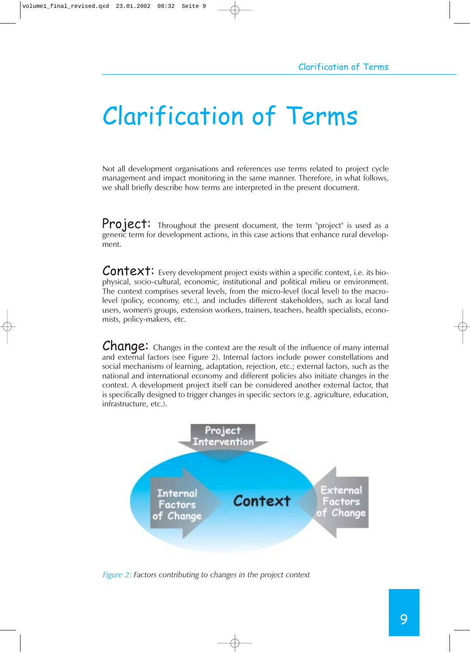# Clarification of Terms

Not all development organisations and references use terms related to project cycle management and impact monitoring in the same manner. Therefore, in what follows, we shall briefly describe how terms are interpreted in the present document.

Project: Throughout the present document, the term "project" is used as a generic term for development actions, in this case actions that enhance rural development.

Context: Every development project exists within a specific context, i.e. its biophysical, socio-cultural, economic, institutional and political milieu or environment. The context comprises several levels, from the micro-level (local level) to the macrolevel (policy, economy, etc.), and includes different stakeholders, such as local land users, women's groups, extension workers, trainers, teachers, health specialists, economists, policy-makers, etc.

**Change:** Changes in the context are the result of the influence of many internal and external factors (see Figure 2). Internal factors include power constellations and social mechanisms of learning, adaptation, rejection, etc.; external factors, such as the national and international economy and different policies also initiate changes in the context. A development project itself can be considered another external factor, that is specifically designed to trigger changes in specific sectors (e.g. agriculture, education, infrastructure, etc.).



Figure 2: Factors contributing to changes in the project context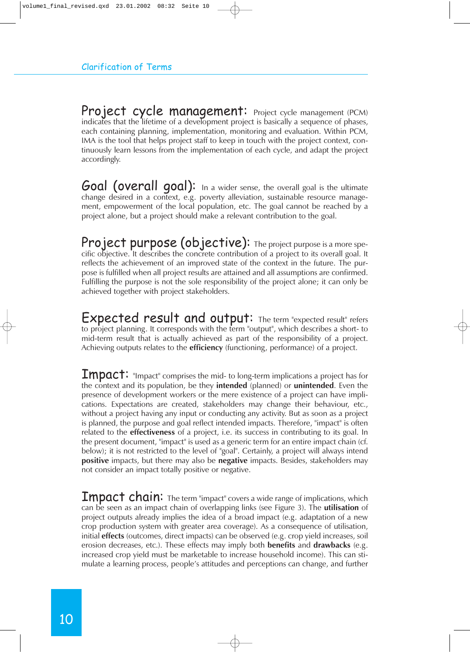Project cycle management: Project cycle management (PCM) indicates that the lifetime of a development project is basically a sequence of phases, each containing planning, implementation, monitoring and evaluation. Within PCM, IMA is the tool that helps project staff to keep in touch with the project context, continuously learn lessons from the implementation of each cycle, and adapt the project accordingly.

Goal (overall goal): In a wider sense, the overall goal is the ultimate change desired in a context, e.g. poverty alleviation, sustainable resource management, empowerment of the local population, etc. The goal cannot be reached by a project alone, but a project should make a relevant contribution to the goal.

Project purpose (objective): The project purpose is a more specific objective. It describes the concrete contribution of a project to its overall goal. It reflects the achievement of an improved state of the context in the future. The purpose is fulfilled when all project results are attained and all assumptions are confirmed. Fulfilling the purpose is not the sole responsibility of the project alone; it can only be achieved together with project stakeholders.

Expected result and output: The term "expected result" refers to project planning. It corresponds with the term "output", which describes a short- to mid-term result that is actually achieved as part of the responsibility of a project. Achieving outputs relates to the efficiency (functioning, performance) of a project.

**IMPACT:** "Impact" comprises the mid- to long-term implications a project has for the context and its population, be they **intended** (planned) or **unintended**. Even the presence of development workers or the mere existence of a project can have implications. Expectations are created, stakeholders may change their behaviour, etc., without a project having any input or conducting any activity. But as soon as a project is planned, the purpose and goal reflect intended impacts. Therefore, "impact" is often related to the effectiveness of a project, i.e. its success in contributing to its goal. In the present document, "impact" is used as a generic term for an entire impact chain (cf. below); it is not restricted to the level of "goal". Certainly, a project will always intend **positive** impacts, but there may also be **negative** impacts. Besides, stakeholders may not consider an impact totally positive or negative.

**Impact chain:** The term "impact" covers a wide range of implications, which can be seen as an impact chain of overlapping links (see Figure 3). The utilisation of project outputs already implies the idea of a broad impact (e.g. adaptation of a new crop production system with greater area coverage). As a consequence of utilisation, initial effects (outcomes, direct impacts) can be observed (e.g. crop yield increases, soil erosion decreases, etc.). These effects may imply both **benefits** and **drawbacks** (e.g. increased crop yield must be marketable to increase household income). This can stimulate a learning process, people's attitudes and perceptions can change, and further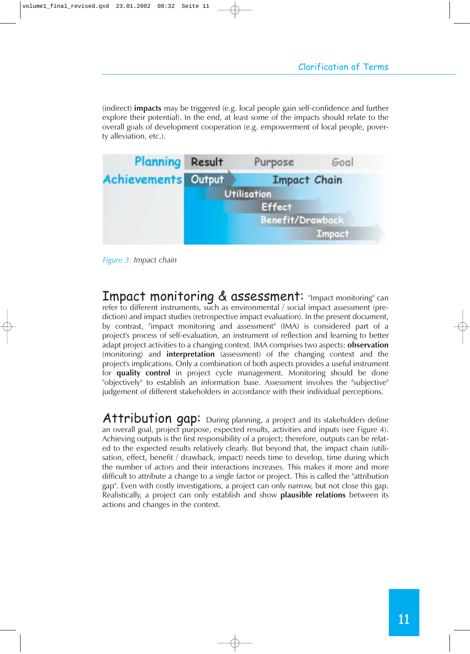(indirect) impacts may be triggered (e.g. local people gain self-confidence and further explore their potential). In the end, at least some of the impacts should relate to the overall goals of development cooperation (e.g. empowerment of local people, poverty alleviation, etc.).



Figure 3: Impact chain

Impact monitoring & assessment: "Impact monitoring" can refer to different instruments, such as environmental / social impact assessment (prediction) and impact studies (retrospective impact evaluation). In the present document, by contrast, "impact monitoring and assessment" (IMA) is considered part of a project's process of self-evaluation, an instrument of reflection and learning to better adapt project activities to a changing context. IMA comprises two aspects: **observation** (monitoring) and interpretation (assessment) of the changing context and the project's implications. Only a combination of both aspects provides a useful instrument for quality control in project cycle management. Monitoring should be done "objectively" to establish an information base. Assessment involves the "subjective" judgement of different stakeholders in accordance with their individual perceptions.

Attribution qap: During planning, a project and its stakeholders define an overall goal, project purpose, expected results, activities and inputs (see Figure 4). Achieving outputs is the first responsibility of a project; therefore, outputs can be related to the expected results relatively clearly. But beyond that, the impact chain (utilisation, effect, benefit / drawback, impact) needs time to develop, time during which the number of actors and their interactions increases. This makes it more and more difficult to attribute a change to a single factor or project. This is called the "attribution gap". Even with costly investigations, a project can only narrow, but not close this gap. Realistically, a project can only establish and show plausible relations between its actions and changes in the context.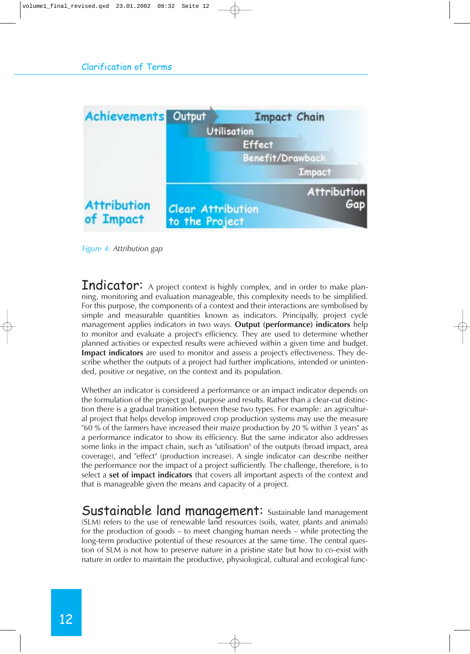

Figure 4: Attribution gap

Indicator: A project context is highly complex, and in order to make planning, monitoring and evaluation manageable, this complexity needs to be simplified. For this purpose, the components of a context and their interactions are symbolised by simple and measurable quantities known as indicators. Principally, project cycle management applies indicators in two ways. Output (performance) indicators help to monitor and evaluate a project's efficiency. They are used to determine whether planned activities or expected results were achieved within a given time and budget. Impact indicators are used to monitor and assess a project's effectiveness. They describe whether the outputs of a project had further implications, intended or unintended, positive or negative, on the context and its population.

Whether an indicator is considered a performance or an impact indicator depends on the formulation of the project goal, purpose and results. Rather than a clear-cut distinction there is a gradual transition between these two types. For example: an agricultural project that helps develop improved crop production systems may use the measure "60 % of the farmers have increased their maize production by 20 % within 3 years" as a performance indicator to show its efficiency. But the same indicator also addresses some links in the impact chain, such as "utilisation" of the outputs (broad impact, area coverage), and "effect" (production increase). A single indicator can describe neither the performance nor the impact of a project sufficiently. The challenge, therefore, is to select a set of impact indicators that covers all important aspects of the context and that is manageable given the means and capacity of a project.

Sustainable land management: Sustainable land management (SLM) refers to the use of renewable land resources (soils, water, plants and animals) for the production of goods – to meet changing human needs – while protecting the long-term productive potential of these resources at the same time. The central question of SLM is not how to preserve nature in a pristine state but how to co-exist with nature in order to maintain the productive, physiological, cultural and ecological func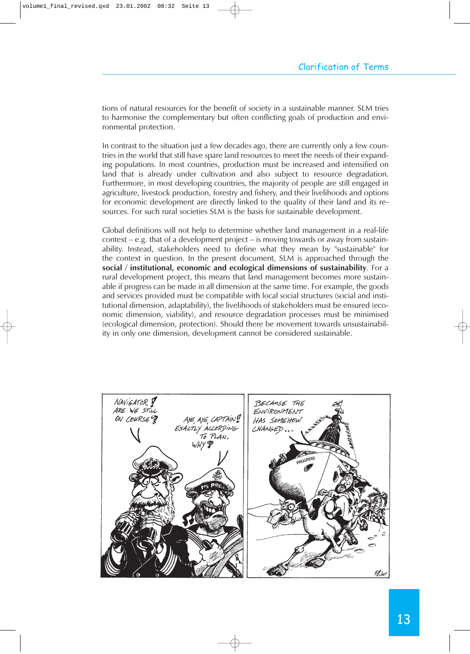tions of natural resources for the benefit of society in a sustainable manner. SLM tries to harmonise the complementary but often conflicting goals of production and environmental protection.

In contrast to the situation just a few decades ago, there are currently only a few countries in the world that still have spare land resources to meet the needs of their expanding populations. In most countries, production must be increased and intensified on land that is already under cultivation and also subject to resource degradation. Furthermore, in most developing countries, the majority of people are still engaged in agriculture, livestock production, forestry and fishery, and their livelihoods and options for economic development are directly linked to the quality of their land and its resources. For such rural societies SLM is the basis for sustainable development.

Global definitions will not help to determine whether land management in a real-life context – e.g. that of a development project – is moving towards or away from sustainability. Instead, stakeholders need to define what they mean by "sustainable" for the context in question. In the present document, SLM is approached through the social / institutional, economic and ecological dimensions of sustainability. For a rural development project, this means that land management becomes more sustainable if progress can be made in all dimension at the same time. For example, the goods and services provided must be compatible with local social structures (social and institutional dimension, adaptability), the livelihoods of stakeholders must be ensured (economic dimension, viability), and resource degradation processes must be minimised (ecological dimension, protection). Should there be movement towards unsustainability in only one dimension, development cannot be considered sustainable.

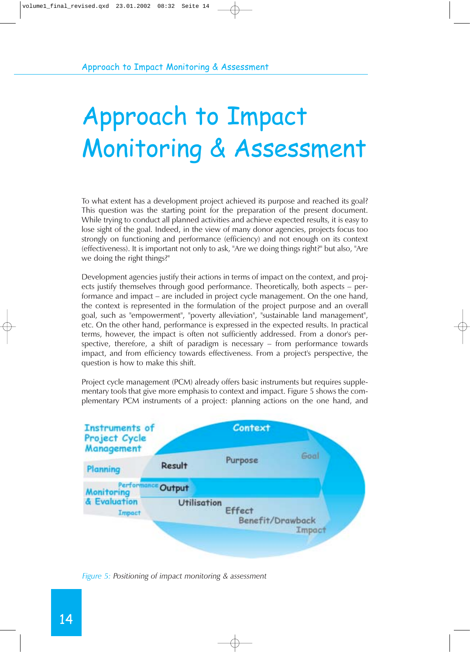# Approach to Impact Monitoring & Assessment

To what extent has a development project achieved its purpose and reached its goal? This question was the starting point for the preparation of the present document. While trying to conduct all planned activities and achieve expected results, it is easy to lose sight of the goal. Indeed, in the view of many donor agencies, projects focus too strongly on functioning and performance (efficiency) and not enough on its context (effectiveness). It is important not only to ask, "Are we doing things right?" but also, "Are we doing the right things?"

Development agencies justify their actions in terms of impact on the context, and projects justify themselves through good performance. Theoretically, both aspects – performance and impact – are included in project cycle management. On the one hand, the context is represented in the formulation of the project purpose and an overall goal, such as "empowerment", "poverty alleviation", "sustainable land management", etc. On the other hand, performance is expressed in the expected results. In practical terms, however, the impact is often not sufficiently addressed. From a donor's perspective, therefore, a shift of paradigm is necessary – from performance towards impact, and from efficiency towards effectiveness. From a project's perspective, the question is how to make this shift.

Project cycle management (PCM) already offers basic instruments but requires supplementary tools that give more emphasis to context and impact. Figure 5 shows the complementary PCM instruments of a project: planning actions on the one hand, and



Figure 5: Positioning of impact monitoring & assessment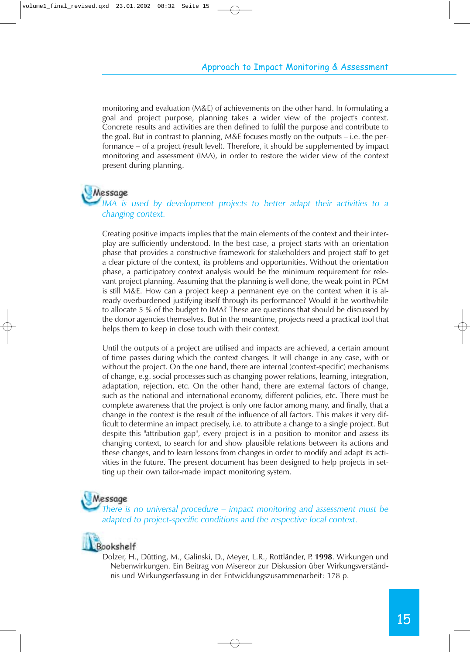monitoring and evaluation (M&E) of achievements on the other hand. In formulating a goal and project purpose, planning takes a wider view of the project's context. Concrete results and activities are then defined to fulfil the purpose and contribute to the goal. But in contrast to planning, M&E focuses mostly on the outputs – i.e. the performance – of a project (result level). Therefore, it should be supplemented by impact monitoring and assessment (IMA), in order to restore the wider view of the context present during planning.

#### Message

#### IMA is used by development projects to better adapt their activities to a changing context.

Creating positive impacts implies that the main elements of the context and their interplay are sufficiently understood. In the best case, a project starts with an orientation phase that provides a constructive framework for stakeholders and project staff to get a clear picture of the context, its problems and opportunities. Without the orientation phase, a participatory context analysis would be the minimum requirement for relevant project planning. Assuming that the planning is well done, the weak point in PCM is still M&E. How can a project keep a permanent eye on the context when it is already overburdened justifying itself through its performance? Would it be worthwhile to allocate 5 % of the budget to IMA? These are questions that should be discussed by the donor agencies themselves. But in the meantime, projects need a practical tool that helps them to keep in close touch with their context.

Until the outputs of a project are utilised and impacts are achieved, a certain amount of time passes during which the context changes. It will change in any case, with or without the project. On the one hand, there are internal (context-specific) mechanisms of change, e.g. social processes such as changing power relations, learning, integration, adaptation, rejection, etc. On the other hand, there are external factors of change, such as the national and international economy, different policies, etc. There must be complete awareness that the project is only one factor among many, and finally, that a change in the context is the result of the influence of all factors. This makes it very difficult to determine an impact precisely, i.e. to attribute a change to a single project. But despite this "attribution gap", every project is in a position to monitor and assess its changing context, to search for and show plausible relations between its actions and these changes, and to learn lessons from changes in order to modify and adapt its activities in the future. The present document has been designed to help projects in setting up their own tailor-made impact monitoring system.

#### Message

There is no universal procedure – impact monitoring and assessment must be adapted to project-specific conditions and the respective local context.



Dolzer, H., Dütting, M., Galinski, D., Meyer, L.R., Rottländer, P. 1998. Wirkungen und Nebenwirkungen. Ein Beitrag von Misereor zur Diskussion über Wirkungsverständnis und Wirkungserfassung in der Entwicklungszusammenarbeit: 178 p.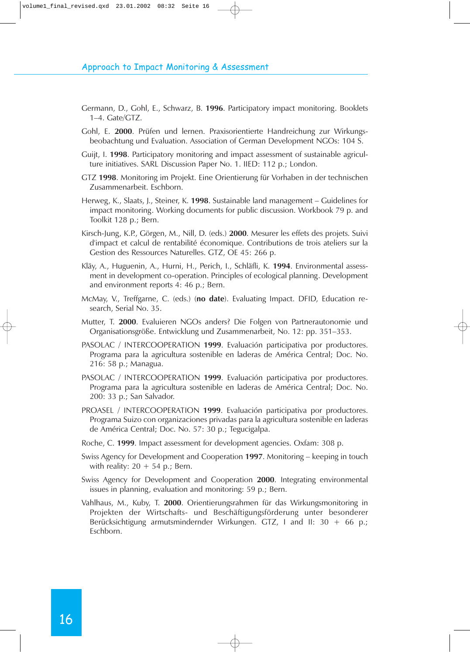- Germann, D., Gohl, E., Schwarz, B. 1996. Participatory impact monitoring. Booklets 1–4. Gate/GTZ.
- Gohl, E. 2000. Prüfen und lernen. Praxisorientierte Handreichung zur Wirkungsbeobachtung und Evaluation. Association of German Development NGOs: 104 S.
- Guijt, I. 1998. Participatory monitoring and impact assessment of sustainable agriculture initiatives. SARL Discussion Paper No. 1. IIED: 112 p.; London.
- GTZ 1998. Monitoring im Projekt. Eine Orientierung für Vorhaben in der technischen Zusammenarbeit. Eschborn.
- Herweg, K., Slaats, J., Steiner, K. 1998. Sustainable land management Guidelines for impact monitoring. Working documents for public discussion. Workbook 79 p. and Toolkit 128 p.; Bern.
- Kirsch-Jung, K.P., Görgen, M., Nill, D. (eds.) 2000. Mesurer les effets des projets. Suivi d'impact et calcul de rentabilité économique. Contributions de trois ateliers sur la Gestion des Ressources Naturelles. GTZ, OE 45: 266 p.
- Kläy, A., Huguenin, A., Hurni, H., Perich, I., Schläfli, K. 1994. Environmental assessment in development co-operation. Principles of ecological planning. Development and environment reports 4: 46 p.; Bern.
- McMay, V., Treffgarne, C. (eds.) (no date). Evaluating Impact. DFID, Education research, Serial No. 35.
- Mutter, T. 2000. Evaluieren NGOs anders? Die Folgen von Partnerautonomie und Organisationsgröße. Entwicklung und Zusammenarbeit, No. 12: pp. 351–353.
- PASOLAC / INTERCOOPERATION 1999. Evaluación participativa por productores. Programa para la agricultura sostenible en laderas de América Central; Doc. No. 216: 58 p.; Managua.
- PASOLAC / INTERCOOPERATION 1999. Evaluación participativa por productores. Programa para la agricultura sostenible en laderas de América Central; Doc. No. 200: 33 p.; San Salvador.
- PROASEL / INTERCOOPERATION 1999. Evaluación participativa por productores. Programa Suizo con organizaciones privadas para la agricultura sostenible en laderas de América Central; Doc. No. 57: 30 p.; Tegucigalpa.
- Roche, C. 1999. Impact assessment for development agencies. Oxfam: 308 p.
- Swiss Agency for Development and Cooperation 1997. Monitoring keeping in touch with reality:  $20 + 54$  p.; Bern.
- Swiss Agency for Development and Cooperation 2000. Integrating environmental issues in planning, evaluation and monitoring: 59 p.; Bern.
- Vahlhaus, M., Kuby, T. 2000. Orientierungsrahmen für das Wirkungsmonitoring in Projekten der Wirtschafts- und Beschäftigungsförderung unter besonderer Berücksichtigung armutsmindernder Wirkungen. GTZ, I and II: 30 + 66 p.; Eschborn.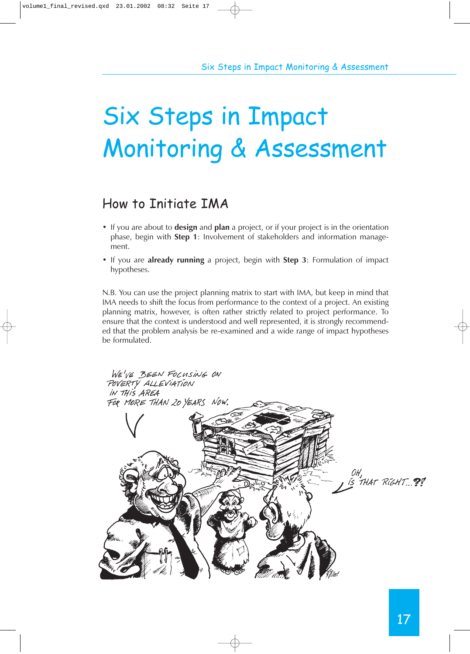# Six Steps in Impact Monitoring & Assessment

#### How to Initiate IMA

- If you are about to **design** and **plan** a project, or if your project is in the orientation phase, begin with Step 1: Involvement of stakeholders and information management.
- If you are already running a project, begin with Step 3: Formulation of impact hypotheses.

N.B. You can use the project planning matrix to start with IMA, but keep in mind that IMA needs to shift the focus from performance to the context of a project. An existing planning matrix, however, is often rather strictly related to project performance. To ensure that the context is understood and well represented, it is strongly recommended that the problem analysis be re-examined and a wide range of impact hypotheses be formulated.

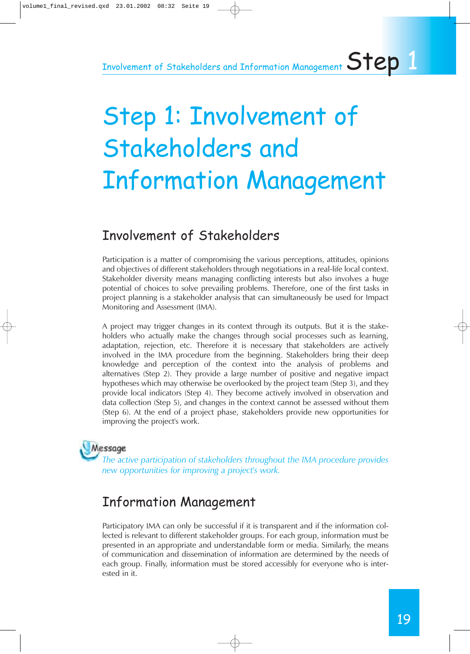# Step 1: Involvement of Stakeholders and Information Management

### Involvement of Stakeholders

Participation is a matter of compromising the various perceptions, attitudes, opinions and objectives of different stakeholders through negotiations in a real-life local context. Stakeholder diversity means managing conflicting interests but also involves a huge potential of choices to solve prevailing problems. Therefore, one of the first tasks in project planning is a stakeholder analysis that can simultaneously be used for Impact Monitoring and Assessment (IMA).

A project may trigger changes in its context through its outputs. But it is the stakeholders who actually make the changes through social processes such as learning, adaptation, rejection, etc. Therefore it is necessary that stakeholders are actively involved in the IMA procedure from the beginning. Stakeholders bring their deep knowledge and perception of the context into the analysis of problems and alternatives (Step 2). They provide a large number of positive and negative impact hypotheses which may otherwise be overlooked by the project team (Step 3), and they provide local indicators (Step 4). They become actively involved in observation and data collection (Step 5), and changes in the context cannot be assessed without them (Step 6). At the end of a project phase, stakeholders provide new opportunities for improving the project's work.

#### Message

The active participation of stakeholders throughout the IMA procedure provides new opportunities for improving a project's work.

### Information Management

Participatory IMA can only be successful if it is transparent and if the information collected is relevant to different stakeholder groups. For each group, information must be presented in an appropriate and understandable form or media. Similarly, the means of communication and dissemination of information are determined by the needs of each group. Finally, information must be stored accessibly for everyone who is interested in it.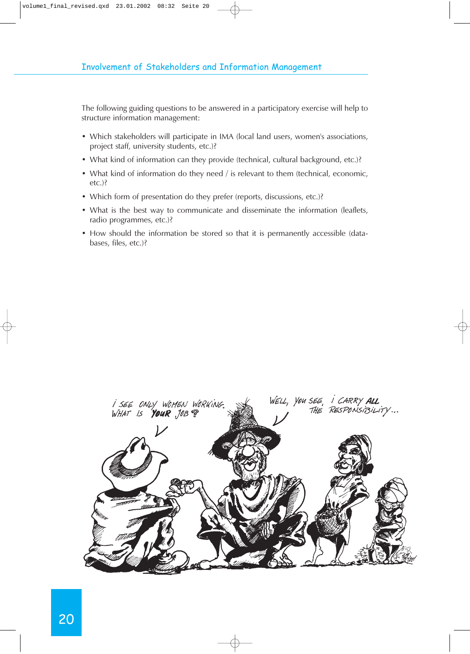The following guiding questions to be answered in a participatory exercise will help to structure information management:

- Which stakeholders will participate in IMA (local land users, women's associations, project staff, university students, etc.)?
- What kind of information can they provide (technical, cultural background, etc.)?
- What kind of information do they need / is relevant to them (technical, economic, etc.)?
- Which form of presentation do they prefer (reports, discussions, etc.)?
- What is the best way to communicate and disseminate the information (leaflets, radio programmes, etc.)?
- How should the information be stored so that it is permanently accessible (databases, files, etc.)?

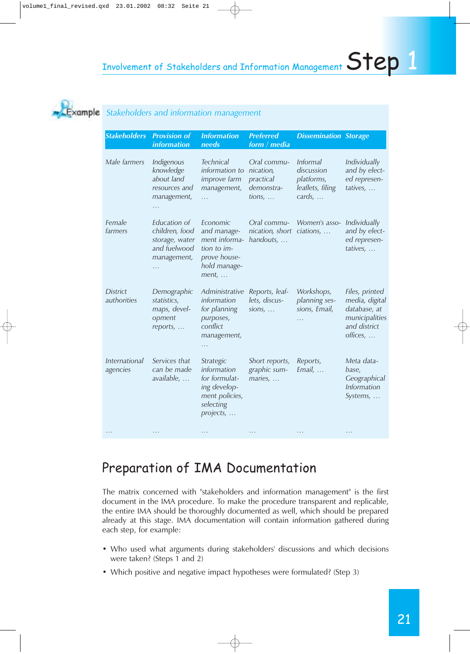

#### Example Stakeholders and information management

| <b>Stakeholders</b>              | <b>Provision of</b><br><i>information</i>                                            | <b>Information</b><br>needs                                                                               | <b>Preferred</b><br>form / media                              | <b>Dissemination Storage</b>                                                      |                                                                                                |
|----------------------------------|--------------------------------------------------------------------------------------|-----------------------------------------------------------------------------------------------------------|---------------------------------------------------------------|-----------------------------------------------------------------------------------|------------------------------------------------------------------------------------------------|
| Male farmers                     | Indigenous<br>knowledge<br>about land<br>resources and<br>management,                | <b>Technical</b><br>information to<br>improve farm<br>management,<br>.                                    | Oral commu-<br>nication,<br>practical<br>demonstra-<br>tions, | <b>Informal</b><br>discussion<br>platforms,<br>leaflets, filing<br>cards, $\dots$ | Individually<br>and by elect-<br>ed represen-<br>tatives,                                      |
| Female<br>farmers                | Education of<br>children, food<br>storage, water<br>and fuelwood<br>management,<br>. | Economic<br>and manage-<br>ment informa-<br>tion to im-<br>prove house-<br>hold manage-<br>$ment, \ldots$ | Oral commu-<br>nication, short<br>handouts,                   | Women's asso-<br>$ciations, \ldots$                                               | Individually<br>and by elect-<br>ed represen-<br>tatives,                                      |
| <i>District</i><br>authorities   | Demographic<br>statistics,<br>maps, devel-<br>opment<br>reports,                     | Administrative<br>information<br>for planning<br>purposes,<br>conflict<br>management,<br>.                | Reports, leaf-<br>lets, discus-<br>$sions, \ldots$            | Workshops,<br>planning ses-<br>sions, Email,                                      | Files, printed<br>media, digital<br>database, at<br>municipalities<br>and district<br>offices, |
| <i>International</i><br>agencies | Services that<br>can be made<br>available,                                           | Strategic<br>information<br>for formulat-<br>ing develop-<br>ment policies,<br>selecting<br>projects,     | Short reports,<br>graphic sum-<br>maries,                     | Reports,<br>$Email, \ldots$                                                       | Meta data-<br>base,<br>Geographical<br>Information<br>Systems,                                 |
| .                                | $\cdots$                                                                             | .                                                                                                         | .                                                             | $\cdots$                                                                          | .                                                                                              |

### Preparation of IMA Documentation

The matrix concerned with "stakeholders and information management" is the first document in the IMA procedure. To make the procedure transparent and replicable, the entire IMA should be thoroughly documented as well, which should be prepared already at this stage. IMA documentation will contain information gathered during each step, for example:

- Who used what arguments during stakeholders' discussions and which decisions were taken? (Steps 1 and 2)
- Which positive and negative impact hypotheses were formulated? (Step 3)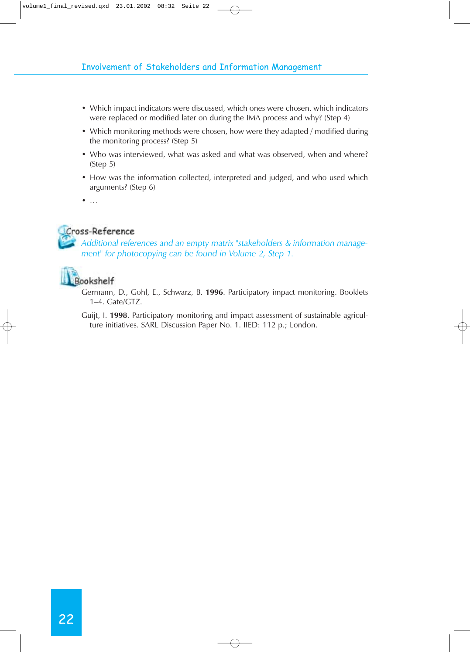- Which impact indicators were discussed, which ones were chosen, which indicators were replaced or modified later on during the IMA process and why? (Step 4)
- Which monitoring methods were chosen, how were they adapted / modified during the monitoring process? (Step 5)
- Who was interviewed, what was asked and what was observed, when and where? (Step 5)
- How was the information collected, interpreted and judged, and who used which arguments? (Step 6)
- …

#### Cross-Reference

Additional references and an empty matrix "stakeholders & information management" for photocopying can be found in Volume 2, Step 1.



Germann, D., Gohl, E., Schwarz, B. 1996. Participatory impact monitoring. Booklets 1–4. Gate/GTZ.

Guijt, I. 1998. Participatory monitoring and impact assessment of sustainable agriculture initiatives. SARL Discussion Paper No. 1. IIED: 112 p.; London.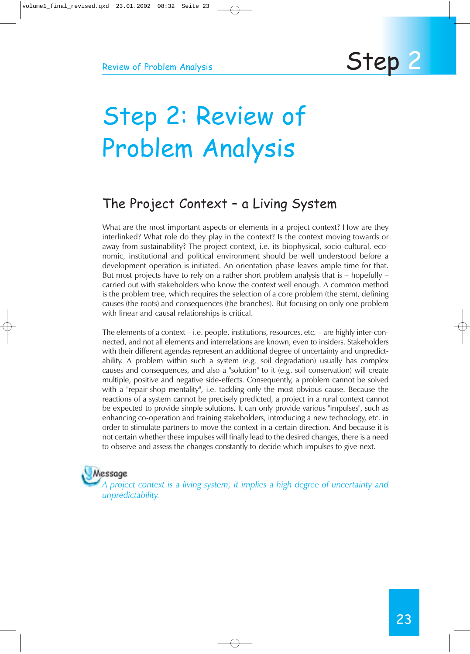# Step 2: Review of Problem Analysis

### The Project Context – a Living System

What are the most important aspects or elements in a project context? How are they interlinked? What role do they play in the context? Is the context moving towards or away from sustainability? The project context, i.e. its biophysical, socio-cultural, economic, institutional and political environment should be well understood before a development operation is initiated. An orientation phase leaves ample time for that. But most projects have to rely on a rather short problem analysis that is – hopefully – carried out with stakeholders who know the context well enough. A common method is the problem tree, which requires the selection of a core problem (the stem), defining causes (the roots) and consequences (the branches). But focusing on only one problem with linear and causal relationships is critical.

The elements of a context – i.e. people, institutions, resources, etc. – are highly inter-connected, and not all elements and interrelations are known, even to insiders. Stakeholders with their different agendas represent an additional degree of uncertainty and unpredictability. A problem within such a system (e.g. soil degradation) usually has complex causes and consequences, and also a "solution" to it (e.g. soil conservation) will create multiple, positive and negative side-effects. Consequently, a problem cannot be solved with a "repair-shop mentality", i.e. tackling only the most obvious cause. Because the reactions of a system cannot be precisely predicted, a project in a rural context cannot be expected to provide simple solutions. It can only provide various "impulses", such as enhancing co-operation and training stakeholders, introducing a new technology, etc. in order to stimulate partners to move the context in a certain direction. And because it is not certain whether these impulses will finally lead to the desired changes, there is a need to observe and assess the changes constantly to decide which impulses to give next.

### Message A project context is a living system; it implies a high degree of uncertainty and unpredictability.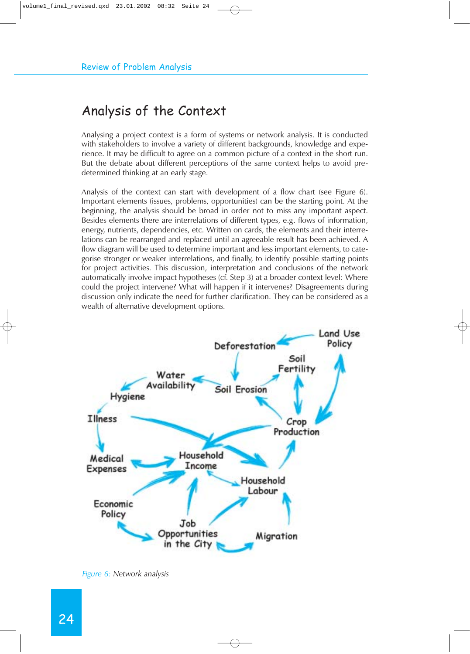#### Analysis of the Context

Analysing a project context is a form of systems or network analysis. It is conducted with stakeholders to involve a variety of different backgrounds, knowledge and experience. It may be difficult to agree on a common picture of a context in the short run. But the debate about different perceptions of the same context helps to avoid predetermined thinking at an early stage.

Analysis of the context can start with development of a flow chart (see Figure 6). Important elements (issues, problems, opportunities) can be the starting point. At the beginning, the analysis should be broad in order not to miss any important aspect. Besides elements there are interrelations of different types, e.g. flows of information, energy, nutrients, dependencies, etc. Written on cards, the elements and their interrelations can be rearranged and replaced until an agreeable result has been achieved. A flow diagram will be used to determine important and less important elements, to categorise stronger or weaker interrelations, and finally, to identify possible starting points for project activities. This discussion, interpretation and conclusions of the network automatically involve impact hypotheses (cf. Step 3) at a broader context level: Where could the project intervene? What will happen if it intervenes? Disagreements during discussion only indicate the need for further clarification. They can be considered as a wealth of alternative development options.



Figure 6: Network analysis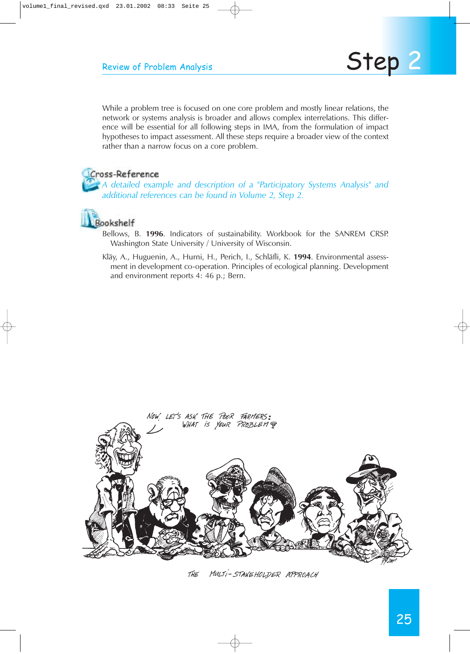While a problem tree is focused on one core problem and mostly linear relations, the network or systems analysis is broader and allows complex interrelations. This difference will be essential for all following steps in IMA, from the formulation of impact hypotheses to impact assessment. All these steps require a broader view of the context rather than a narrow focus on a core problem.

#### Cross-Reference

A detailed example and description of a "Participatory Systems Analysis" and additional references can be found in Volume 2, Step 2.



- Bellows, B. 1996. Indicators of sustainability. Workbook for the SANREM CRSP. Washington State University / University of Wisconsin.
- Kläy, A., Huguenin, A., Hurni, H., Perich, I., Schläfli, K. 1994. Environmental assessment in development co-operation. Principles of ecological planning. Development and environment reports 4: 46 p.; Bern.



THE MULTI-STAKEHOLDER APPROACH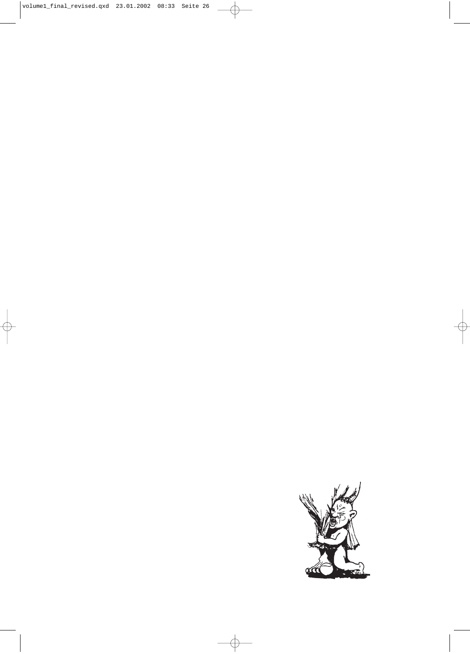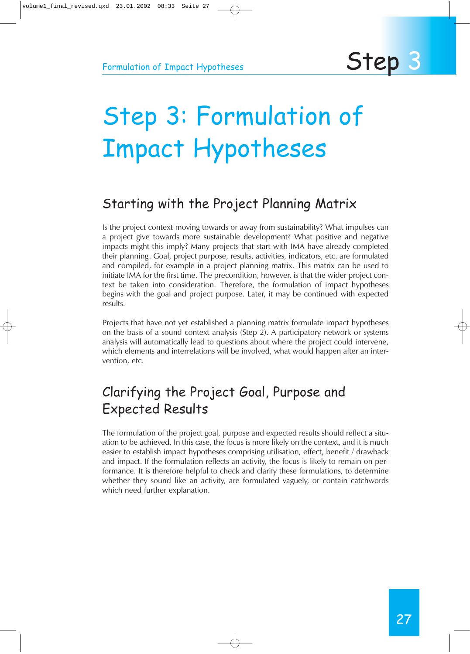# Step 3: Formulation of Impact Hypotheses

### Starting with the Project Planning Matrix

Is the project context moving towards or away from sustainability? What impulses can a project give towards more sustainable development? What positive and negative impacts might this imply? Many projects that start with IMA have already completed their planning. Goal, project purpose, results, activities, indicators, etc. are formulated and compiled, for example in a project planning matrix. This matrix can be used to initiate IMA for the first time. The precondition, however, is that the wider project context be taken into consideration. Therefore, the formulation of impact hypotheses begins with the goal and project purpose. Later, it may be continued with expected results.

Projects that have not yet established a planning matrix formulate impact hypotheses on the basis of a sound context analysis (Step 2). A participatory network or systems analysis will automatically lead to questions about where the project could intervene, which elements and interrelations will be involved, what would happen after an intervention, etc.

### Clarifying the Project Goal, Purpose and Expected Results

The formulation of the project goal, purpose and expected results should reflect a situation to be achieved. In this case, the focus is more likely on the context, and it is much easier to establish impact hypotheses comprising utilisation, effect, benefit / drawback and impact. If the formulation reflects an activity, the focus is likely to remain on performance. It is therefore helpful to check and clarify these formulations, to determine whether they sound like an activity, are formulated vaguely, or contain catchwords which need further explanation.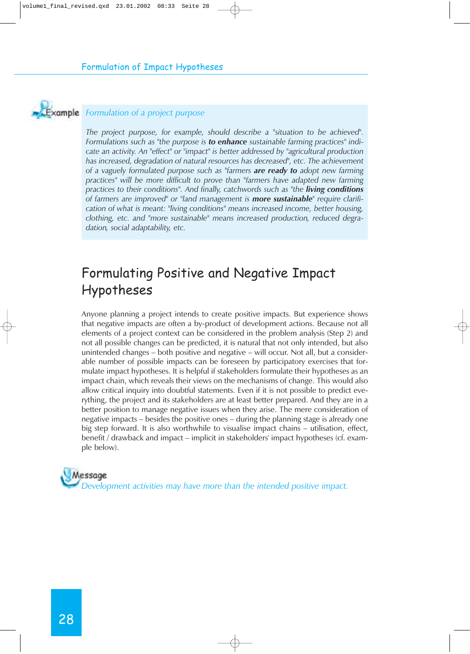

#### **Example** Formulation of a project purpose

The project purpose, for example, should describe a "situation to be achieved". Formulations such as "the purpose is **to enhance** sustainable farming practices" indicate an activity. An "effect" or "impact" is better addressed by "agricultural production has increased, degradation of natural resources has decreased", etc. The achievement of a vaguely formulated purpose such as "farmers **are ready to** adopt new farming practices" will be more difficult to prove than "farmers have adapted new farming practices to their conditions". And finally, catchwords such as "the living conditions of farmers are improved" or "land management is **more sustainable**" require clarification of what is meant: "living conditions" means increased income, better housing, clothing, etc. and "more sustainable" means increased production, reduced degradation, social adaptability, etc.

### Formulating Positive and Negative Impact Hypotheses

Anyone planning a project intends to create positive impacts. But experience shows that negative impacts are often a by-product of development actions. Because not all elements of a project context can be considered in the problem analysis (Step 2) and not all possible changes can be predicted, it is natural that not only intended, but also unintended changes – both positive and negative – will occur. Not all, but a considerable number of possible impacts can be foreseen by participatory exercises that formulate impact hypotheses. It is helpful if stakeholders formulate their hypotheses as an impact chain, which reveals their views on the mechanisms of change. This would also allow critical inquiry into doubtful statements. Even if it is not possible to predict everything, the project and its stakeholders are at least better prepared. And they are in a better position to manage negative issues when they arise. The mere consideration of negative impacts – besides the positive ones – during the planning stage is already one big step forward. It is also worthwhile to visualise impact chains – utilisation, effect, benefit / drawback and impact – implicit in stakeholders' impact hypotheses (cf. example below).

Message Development activities may have more than the intended positive impact.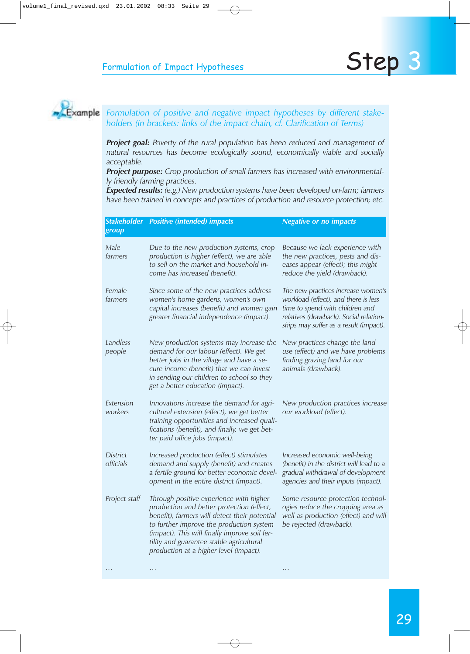

Formulation of positive and negative impact hypotheses by different stakeholders (in brackets: links of the impact chain, cf. Clarification of Terms)

Project goal: Poverty of the rural population has been reduced and management of natural resources has become ecologically sound, economically viable and socially acceptable.

Project purpose: Crop production of small farmers has increased with environmentally friendly farming practices.

Expected results: (e.g.) New production systems have been developed on-farm; farmers have been trained in concepts and practices of production and resource protection; etc.

| group                        | <b>Stakeholder</b> Positive (intended) impacts                                                                                                                                                                                                                                                                           | <b>Negative or no impacts</b>                                                                                                                                                                     |
|------------------------------|--------------------------------------------------------------------------------------------------------------------------------------------------------------------------------------------------------------------------------------------------------------------------------------------------------------------------|---------------------------------------------------------------------------------------------------------------------------------------------------------------------------------------------------|
| Male<br>farmers              | Due to the new production systems, crop<br>production is higher (effect), we are able<br>to sell on the market and household in-<br>come has increased (benefit).                                                                                                                                                        | Because we lack experience with<br>the new practices, pests and dis-<br>eases appear (effect); this might<br>reduce the yield (drawback).                                                         |
| Female<br>farmers            | Since some of the new practices address<br>women's home gardens, women's own<br>capital increases (benefit) and women gain<br>greater financial independence (impact).                                                                                                                                                   | The new practices increase women's<br>workload (effect), and there is less<br>time to spend with children and<br>relatives (drawback). Social relation-<br>ships may suffer as a result (impact). |
| Landless<br>people           | New production systems may increase the<br>demand for our labour (effect). We get<br>better jobs in the village and have a se-<br>cure income (benefit) that we can invest<br>in sending our children to school so they<br>get a better education (impact).                                                              | New practices change the land<br>use (effect) and we have problems<br>finding grazing land for our<br>animals (drawback).                                                                         |
| Extension<br>workers         | Innovations increase the demand for agri-<br>cultural extension (effect), we get better<br>training opportunities and increased quali-<br>fications (benefit), and finally, we get bet-<br>ter paid office jobs (impact).                                                                                                | New production practices increase<br>our workload (effect).                                                                                                                                       |
| <i>District</i><br>officials | Increased production (effect) stimulates<br>demand and supply (benefit) and creates<br>a fertile ground for better economic devel-<br>opment in the entire district (impact).                                                                                                                                            | Increased economic well-being<br>(benefit) in the district will lead to a<br>gradual withdrawal of development<br>agencies and their inputs (impact).                                             |
| Project staff                | Through positive experience with higher<br>production and better protection (effect,<br>benefit), farmers will detect their potential<br>to further improve the production system<br>(impact). This will finally improve soil fer-<br>tility and guarantee stable agricultural<br>production at a higher level (impact). | Some resource protection technol-<br>ogies reduce the cropping area as<br>well as production (effect) and will<br>be rejected (drawback).                                                         |
|                              | .                                                                                                                                                                                                                                                                                                                        |                                                                                                                                                                                                   |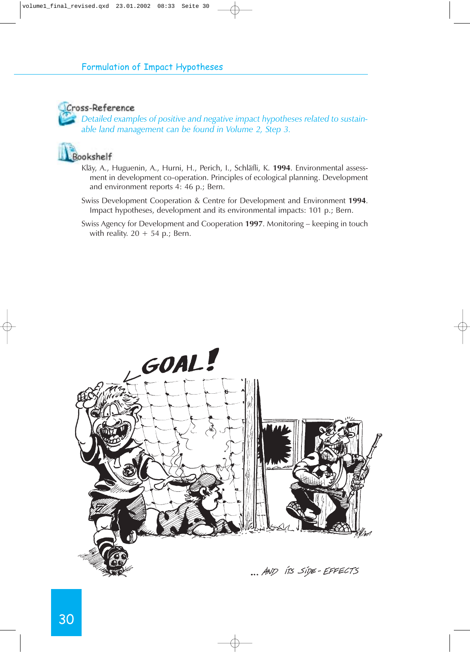#### Cross-Reference

Detailed examples of positive and negative impact hypotheses related to sustainable land management can be found in Volume 2, Step 3.

#### Bookshelf

- Kläy, A., Huguenin, A., Hurni, H., Perich, I., Schläfli, K. 1994. Environmental assessment in development co-operation. Principles of ecological planning. Development and environment reports 4: 46 p.; Bern.
- Swiss Development Cooperation & Centre for Development and Environment 1994. Impact hypotheses, development and its environmental impacts: 101 p.; Bern.
- Swiss Agency for Development and Cooperation 1997. Monitoring keeping in touch with reality.  $20 + 54$  p.; Bern.

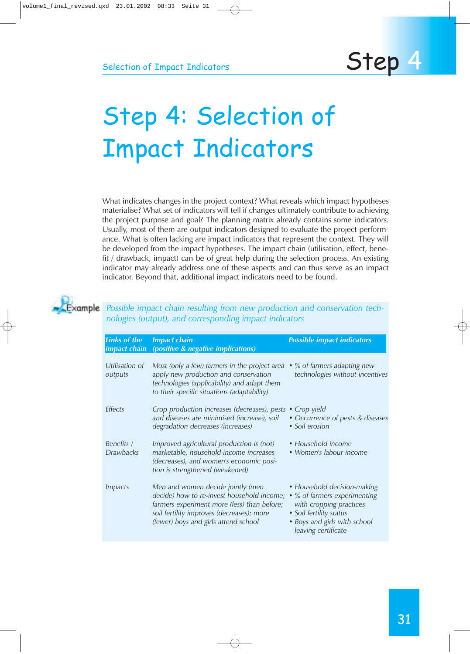# Step 4: Selection of Impact Indicators

What indicates changes in the project context? What reveals which impact hypotheses materialise? What set of indicators will tell if changes ultimately contribute to achieving the project purpose and goal? The planning matrix already contains some indicators. Usually, most of them are output indicators designed to evaluate the project performance. What is often lacking are impact indicators that represent the context. They will be developed from the impact hypotheses. The impact chain (utilisation, effect, benefit / drawback, impact) can be of great help during the selection process. An existing indicator may already address one of these aspects and can thus serve as an impact indicator. Beyond that, additional impact indicators need to be found.



#### Example Possible impact chain resulting from new production and conservation technologies (output), and corresponding impact indicators

| Links of the<br><i>impact chain</i> | <b>Impact chain</b><br>(positive & negative implications)                                                                                                                                                           | <b>Possible impact indicators</b>                                                                                                                                        |
|-------------------------------------|---------------------------------------------------------------------------------------------------------------------------------------------------------------------------------------------------------------------|--------------------------------------------------------------------------------------------------------------------------------------------------------------------------|
| Utilisation of<br>outputs           | Most (only a few) farmers in the project area<br>apply new production and conservation<br>technologies (applicability) and adapt them<br>to their specific situations (adaptability)                                | • % of farmers adapting new<br>technologies without incentives                                                                                                           |
| Effects                             | Crop production increases (decreases), pests<br>and diseases are minimised (increase), soil<br>degradation decreases (increases)                                                                                    | • Crop yield<br>• Occurrence of pests & diseases<br>· Soil erosion                                                                                                       |
| Benefits /<br><b>Drawbacks</b>      | Improved agricultural production is (not)<br>marketable, household income increases<br>(decreases), and women's economic posi-<br>tion is strengthened (weakened)                                                   | • Household income<br>• Women's labour income                                                                                                                            |
| <i>Impacts</i>                      | Men and women decide jointly (men<br>decide) how to re-invest household income;<br>farmers experiment more (less) than before;<br>soil fertility improves (decreases); more<br>(fewer) boys and girls attend school | • Household decision-making<br>• % of farmers experimenting<br>with cropping practices<br>· Soil fertility status<br>• Boys and girls with school<br>leaving certificate |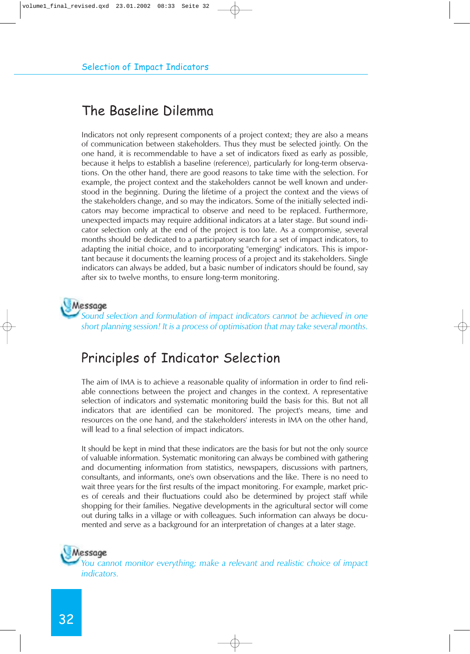### The Baseline Dilemma

Indicators not only represent components of a project context; they are also a means of communication between stakeholders. Thus they must be selected jointly. On the one hand, it is recommendable to have a set of indicators fixed as early as possible, because it helps to establish a baseline (reference), particularly for long-term observations. On the other hand, there are good reasons to take time with the selection. For example, the project context and the stakeholders cannot be well known and understood in the beginning. During the lifetime of a project the context and the views of the stakeholders change, and so may the indicators. Some of the initially selected indicators may become impractical to observe and need to be replaced. Furthermore, unexpected impacts may require additional indicators at a later stage. But sound indicator selection only at the end of the project is too late. As a compromise, several months should be dedicated to a participatory search for a set of impact indicators, to adapting the initial choice, and to incorporating "emerging" indicators. This is important because it documents the learning process of a project and its stakeholders. Single indicators can always be added, but a basic number of indicators should be found, say after six to twelve months, to ensure long-term monitoring.

### Message

Sound selection and formulation of impact indicators cannot be achieved in one short planning session! It is a process of optimisation that may take several months.

### Principles of Indicator Selection

The aim of IMA is to achieve a reasonable quality of information in order to find reliable connections between the project and changes in the context. A representative selection of indicators and systematic monitoring build the basis for this. But not all indicators that are identified can be monitored. The project's means, time and resources on the one hand, and the stakeholders' interests in IMA on the other hand, will lead to a final selection of impact indicators.

It should be kept in mind that these indicators are the basis for but not the only source of valuable information. Systematic monitoring can always be combined with gathering and documenting information from statistics, newspapers, discussions with partners, consultants, and informants, one's own observations and the like. There is no need to wait three years for the first results of the impact monitoring. For example, market prices of cereals and their fluctuations could also be determined by project staff while shopping for their families. Negative developments in the agricultural sector will come out during talks in a village or with colleagues. Such information can always be documented and serve as a background for an interpretation of changes at a later stage.

Message You cannot monitor everything; make a relevant and realistic choice of impact indicators.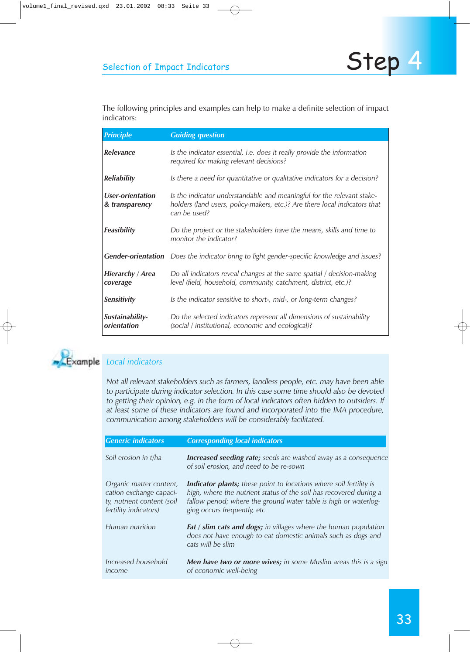The following principles and examples can help to make a definite selection of impact indicators:

| <b>Principle</b>                          | <b>Guiding question</b>                                                                                                                                              |
|-------------------------------------------|----------------------------------------------------------------------------------------------------------------------------------------------------------------------|
| <b>Relevance</b>                          | Is the indicator essential, i.e. does it really provide the information<br>required for making relevant decisions?                                                   |
| <b>Reliability</b>                        | Is there a need for quantitative or qualitative indicators for a decision?                                                                                           |
| <b>User-orientation</b><br>& transparency | Is the indicator understandable and meaningful for the relevant stake-<br>holders (land users, policy-makers, etc.)? Are there local indicators that<br>can be used? |
| Feasibility                               | Do the project or the stakeholders have the means, skills and time to<br>monitor the indicator?                                                                      |
|                                           | <b>Gender-orientation</b> Does the indicator bring to light gender-specific knowledge and issues?                                                                    |
| <b>Hierarchy / Area</b><br>coverage       | Do all indicators reveal changes at the same spatial / decision-making<br>level (field, household, community, catchment, district, etc.)?                            |
| <b>Sensitivity</b>                        | Is the indicator sensitive to short-, mid-, or long-term changes?                                                                                                    |
| Sustainability-<br>orientation            | Do the selected indicators represent all dimensions of sustainability<br>(social / institutional, economic and ecological)?                                          |



#### **Example** Local indicators

Not all relevant stakeholders such as farmers, landless people, etc. may have been able to participate during indicator selection. In this case some time should also be devoted to getting their opinion, e.g. in the form of local indicators often hidden to outsiders. If at least some of these indicators are found and incorporated into the IMA procedure, communication among stakeholders will be considerably facilitated.

| Generic indicators                                                                                        | <b>Corresponding local indicators</b>                                                                                                                                                                                                               |
|-----------------------------------------------------------------------------------------------------------|-----------------------------------------------------------------------------------------------------------------------------------------------------------------------------------------------------------------------------------------------------|
| Soil erosion in t/ha                                                                                      | <b>Increased seeding rate;</b> seeds are washed away as a consequence<br>of soil erosion, and need to be re-sown                                                                                                                                    |
| Organic matter content,<br>cation exchange capaci-<br>ty, nutrient content (soil<br>fertility indicators) | <b>Indicator plants;</b> these point to locations where soil fertility is<br>high, where the nutrient status of the soil has recovered during a<br>fallow period; where the ground water table is high or waterlog-<br>ging occurs frequently, etc. |
| Human nutrition                                                                                           | <b>Fat / slim cats and dogs;</b> in villages where the human population<br>does not have enough to eat domestic animals such as dogs and<br>cats will be slim                                                                                       |
| Increased household<br>income                                                                             | Men have two or more wives; in some Muslim areas this is a sign<br>of economic well-being                                                                                                                                                           |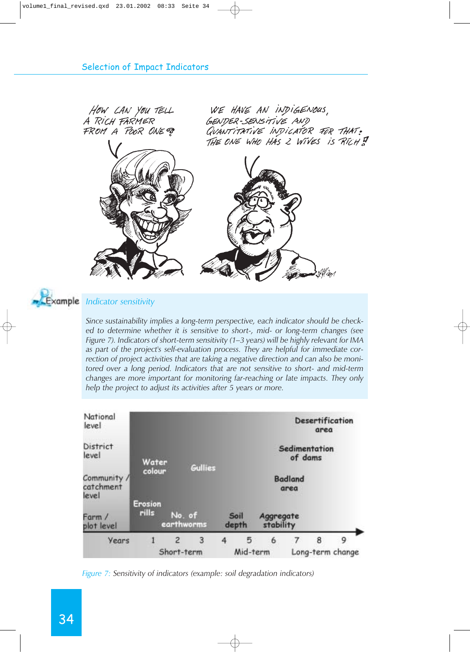

#### **xample** Indicator sensitivity

Since sustainability implies a long-term perspective, each indicator should be checked to determine whether it is sensitive to short-, mid- or long-term changes (see Figure 7). Indicators of short-term sensitivity (1–3 years) will be highly relevant for IMA as part of the project's self-evaluation process. They are helpful for immediate correction of project activities that are taking a negative direction and can also be monitored over a long period. Indicators that are not sensitive to short- and mid-term changes are more important for monitoring far-reaching or late impacts. They only help the project to adjust its activities after 5 years or more.



Figure 7: Sensitivity of indicators (example: soil degradation indicators)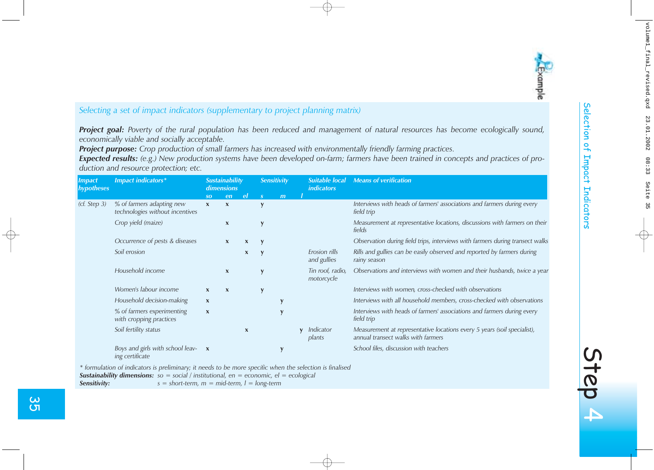Example

|                                    | Selecting a set of impact indicators (supplementary to project planning matrix)<br>economically viable and socially acceptable.<br>duction and resource protection; etc. |                                 |                                            |              |                    |              |                                            | Project goal: Poverty of the rural population has been reduced and management of natural resources has become ecologically sound,<br>Project purpose: Crop production of small farmers has increased with environmentally friendly farming practices.<br>Expected results: (e.g.) New production systems have been developed on-farm; farmers have been trained in concepts and practices of pro- |
|------------------------------------|--------------------------------------------------------------------------------------------------------------------------------------------------------------------------|---------------------------------|--------------------------------------------|--------------|--------------------|--------------|--------------------------------------------|---------------------------------------------------------------------------------------------------------------------------------------------------------------------------------------------------------------------------------------------------------------------------------------------------------------------------------------------------------------------------------------------------|
| <i><b>Impact</b></i><br>hypotheses | <b>Impact indicators*</b>                                                                                                                                                |                                 | <b>Sustainability</b><br><b>dimensions</b> |              | <b>Sensitivity</b> |              | <b>Suitable local</b><br><i>indicators</i> | <b>Means of verification</b>                                                                                                                                                                                                                                                                                                                                                                      |
| (ct. Step 3)                       | % of farmers adapting new<br>technologies without incentives                                                                                                             | SO <sub>2</sub><br>$\mathbf{x}$ | en<br>$\mathbf{x}$                         | el.          | $\mathbf{s}$<br>y  | $\mathbf{m}$ |                                            | Interviews with heads of farmers' associations and farmers during every<br>field trip                                                                                                                                                                                                                                                                                                             |
|                                    | Crop yield (maize)                                                                                                                                                       |                                 | $\mathbf x$                                |              | y                  |              |                                            | Measurement at representative locations, discussions with farmers on their<br>fields                                                                                                                                                                                                                                                                                                              |
|                                    | Occurrence of pests & diseases                                                                                                                                           |                                 | $\mathbf{x}$                               | $\mathbf{x}$ | $\mathbf v$        |              |                                            | Observation during field trips, interviews with farmers during transect walks                                                                                                                                                                                                                                                                                                                     |
|                                    | Soil erosion                                                                                                                                                             |                                 |                                            | $\mathbf{x}$ |                    |              | Erosion rills<br>and gullies               | Rills and gullies can be easily observed and reported by farmers during<br>rainy season                                                                                                                                                                                                                                                                                                           |
|                                    | Household income                                                                                                                                                         |                                 | $\mathbf{x}$                               |              | y                  |              | Tin roof, radio,<br>motorcycle             | Observations and interviews with women and their husbands, twice a year                                                                                                                                                                                                                                                                                                                           |
|                                    | Women's labour income                                                                                                                                                    | $\boldsymbol{\mathsf{X}}$       | $\boldsymbol{\mathsf{X}}$                  |              | y                  |              |                                            | Interviews with women, cross-checked with observations                                                                                                                                                                                                                                                                                                                                            |
|                                    | Household decision-making                                                                                                                                                | $\boldsymbol{\mathsf{X}}$       |                                            |              |                    |              |                                            | Interviews with all household members, cross-checked with observations                                                                                                                                                                                                                                                                                                                            |
|                                    | % of farmers experimenting<br>with cropping practices                                                                                                                    | $\mathbf{x}$                    |                                            |              |                    | $\mathbf v$  |                                            | Interviews with heads of farmers' associations and farmers during every<br>field trip                                                                                                                                                                                                                                                                                                             |
|                                    | Soil fertility status                                                                                                                                                    |                                 |                                            | $\mathbf{x}$ |                    |              | Indicator<br>plants                        | Measurement at representative locations every 5 years (soil specialist),<br>annual transect walks with farmers                                                                                                                                                                                                                                                                                    |
|                                    | Boys and girls with school leav- x<br>ing certificate                                                                                                                    |                                 |                                            |              |                    |              |                                            | School files, discussion with teachers                                                                                                                                                                                                                                                                                                                                                            |

\* formulation of indicators is preliminary; it needs to be more specific when the selection is finalised **Sustainability dimensions:**  $\dot{so} = \dot{so}\dot{a}$  / institutional, en = economic, el = ecological **Sensitivity:**  $s = short-term$ ,  $m = mid-term$ ,  $l = long-term$ 

<u>(၃</u>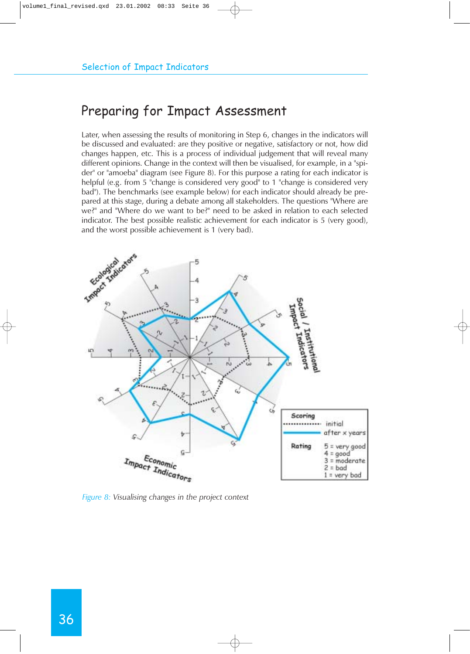#### Preparing for Impact Assessment

Later, when assessing the results of monitoring in Step 6, changes in the indicators will be discussed and evaluated: are they positive or negative, satisfactory or not, how did changes happen, etc. This is a process of individual judgement that will reveal many different opinions. Change in the context will then be visualised, for example, in a "spider" or "amoeba" diagram (see Figure 8). For this purpose a rating for each indicator is helpful (e.g. from 5 "change is considered very good" to 1 "change is considered very bad"). The benchmarks (see example below) for each indicator should already be prepared at this stage, during a debate among all stakeholders. The questions "Where are we?" and "Where do we want to be?" need to be asked in relation to each selected indicator. The best possible realistic achievement for each indicator is 5 (very good), and the worst possible achievement is 1 (very bad).



Figure 8: Visualising changes in the project context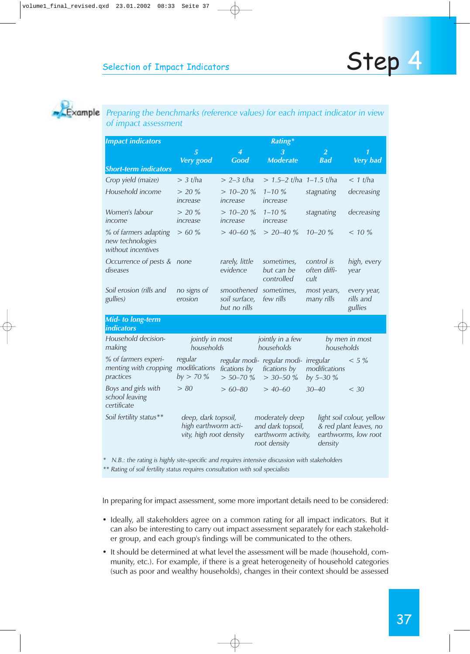

Preparing the benchmarks (reference values) for each impact indicator in view of impact assessment

| <b>Impact indicators</b>                                        |                                                                        |                                             | Rating <sup>*</sup>                                                         |                                    |                                                                             |
|-----------------------------------------------------------------|------------------------------------------------------------------------|---------------------------------------------|-----------------------------------------------------------------------------|------------------------------------|-----------------------------------------------------------------------------|
|                                                                 | 5<br>Very good                                                         | $\overline{4}$<br><b>Good</b>               | $\overline{3}$<br><b>Moderate</b>                                           | $\overline{2}$<br><b>Bad</b>       | <b>Very bad</b>                                                             |
| <b>Short-term indicators</b>                                    |                                                                        |                                             |                                                                             |                                    |                                                                             |
| Crop yield (maize)                                              | $>$ 3 t/ha                                                             | $> 2 - 3$ t/ha                              | $> 1.5 - 2$ t/ha 1-1.5 t/ha                                                 |                                    | $<$ 1 t/ha                                                                  |
| Household income                                                | $> 20\%$<br>increase                                                   | $> 10 - 20 \%$<br>increase                  | $1 - 10%$<br>increase                                                       | stagnating                         | decreasing                                                                  |
| Women's labour<br>income                                        | $> 20\%$<br>increase                                                   | $> 10 - 20 %$<br>increase                   | $1 - 10 \%$<br>increase                                                     | stagnating                         | decreasing                                                                  |
| % of farmers adapting<br>new technologies<br>without incentives | $> 60 \%$                                                              | $>$ 40–60 %                                 | $> 20 - 40 \%$                                                              | $10 - 20%$                         | $< 10 \%$                                                                   |
| Occurrence of pests & none<br>diseases                          |                                                                        | rarely, little<br>evidence                  | sometimes,<br>but can be<br>controlled                                      | control is<br>often diffi-<br>cult | high, every<br>year                                                         |
| Soil erosion (rills and<br>gullies)                             | no signs of<br>erosion                                                 | smoothened<br>soil surface,<br>but no rills | sometimes,<br>few rills                                                     | most years,<br>many rills          | every year,<br>rills and<br>gullies                                         |
| Mid- to long-term<br><i><b>indicators</b></i>                   |                                                                        |                                             |                                                                             |                                    |                                                                             |
| Household decision-<br>making                                   | jointly in most<br>households                                          |                                             | jointly in a few<br>households                                              | households                         | by men in most                                                              |
| % of farmers experi-<br>menting with cropping<br>practices      | regular<br>modifications<br>by $> 70 \%$                               | fications by<br>$> 50 - 70 \%$              | regular modi- regular modi- irregular<br><i>fications by</i><br>$>$ 30–50 % | modifications<br>by 5-30 %         | $< 5 \%$                                                                    |
| Boys and girls with<br>school leaving<br>certificate            | > 80                                                                   | $> 60 - 80$                                 | $> 40 - 60$                                                                 | $30 - 40$                          | $<$ 30                                                                      |
| Soil fertility status**                                         | deep, dark topsoil,<br>high earthworm acti-<br>vity, high root density |                                             | moderately deep<br>and dark topsoil,<br>earthworm activity,<br>root density | density                            | light soil colour, yellow<br>& red plant leaves, no<br>earthworms, low root |

N.B.: the rating is highly site-specific and requires intensive discussion with stakeholders

\*\* Rating of soil fertility status requires consultation with soil specialists

In preparing for impact assessment, some more important details need to be considered:

- Ideally, all stakeholders agree on a common rating for all impact indicators. But it can also be interesting to carry out impact assessment separately for each stakeholder group, and each group's findings will be communicated to the others.
- It should be determined at what level the assessment will be made (household, community, etc.). For example, if there is a great heterogeneity of household categories (such as poor and wealthy households), changes in their context should be assessed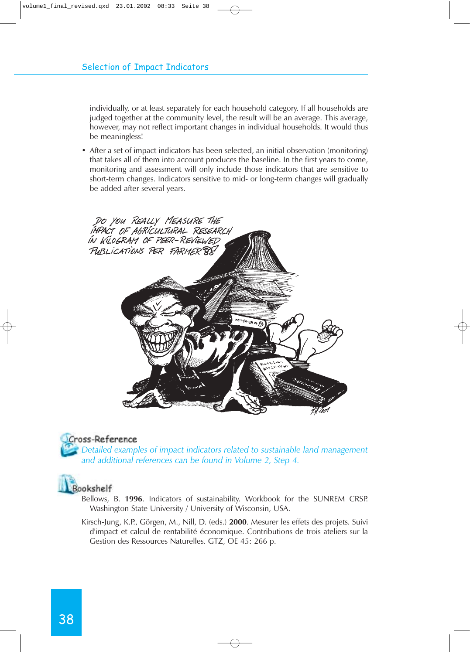individually, or at least separately for each household category. If all households are judged together at the community level, the result will be an average. This average, however, may not reflect important changes in individual households. It would thus be meaningless!

• After a set of impact indicators has been selected, an initial observation (monitoring) that takes all of them into account produces the baseline. In the first years to come, monitoring and assessment will only include those indicators that are sensitive to short-term changes. Indicators sensitive to mid- or long-term changes will gradually be added after several years.



#### Cross-Reference

Detailed examples of impact indicators related to sustainable land management and additional references can be found in Volume 2, Step 4.



Bellows, B. 1996. Indicators of sustainability. Workbook for the SUNREM CRSP. Washington State University / University of Wisconsin, USA.

Kirsch-Jung, K.P., Görgen, M., Nill, D. (eds.) 2000. Mesurer les effets des projets. Suivi d'impact et calcul de rentabilité économique. Contributions de trois ateliers sur la Gestion des Ressources Naturelles. GTZ, OE 45: 266 p.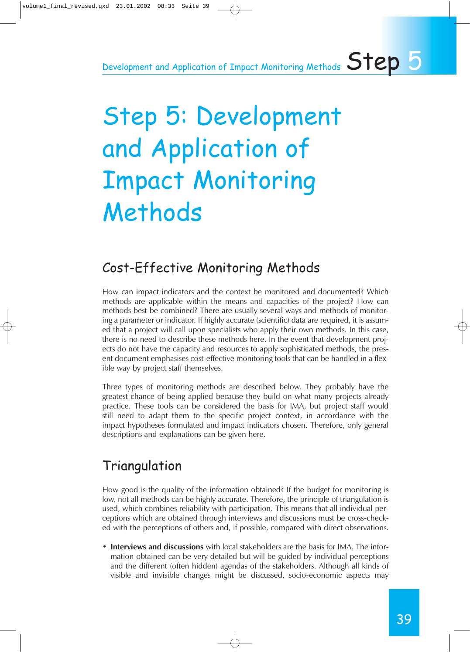# Step 5: Development and Application of Impact Monitoring Methods

### Cost-Effective Monitoring Methods

How can impact indicators and the context be monitored and documented? Which methods are applicable within the means and capacities of the project? How can methods best be combined? There are usually several ways and methods of monitoring a parameter or indicator. If highly accurate (scientific) data are required, it is assumed that a project will call upon specialists who apply their own methods. In this case, there is no need to describe these methods here. In the event that development projects do not have the capacity and resources to apply sophisticated methods, the present document emphasises cost-effective monitoring tools that can be handled in a flexible way by project staff themselves.

Three types of monitoring methods are described below. They probably have the greatest chance of being applied because they build on what many projects already practice. These tools can be considered the basis for IMA, but project staff would still need to adapt them to the specific project context, in accordance with the impact hypotheses formulated and impact indicators chosen. Therefore, only general descriptions and explanations can be given here.

# Triangulation

How good is the quality of the information obtained? If the budget for monitoring is low, not all methods can be highly accurate. Therefore, the principle of triangulation is used, which combines reliability with participation. This means that all individual perceptions which are obtained through interviews and discussions must be cross-checked with the perceptions of others and, if possible, compared with direct observations.

• Interviews and discussions with local stakeholders are the basis for IMA. The information obtained can be very detailed but will be guided by individual perceptions and the different (often hidden) agendas of the stakeholders. Although all kinds of visible and invisible changes might be discussed, socio-economic aspects may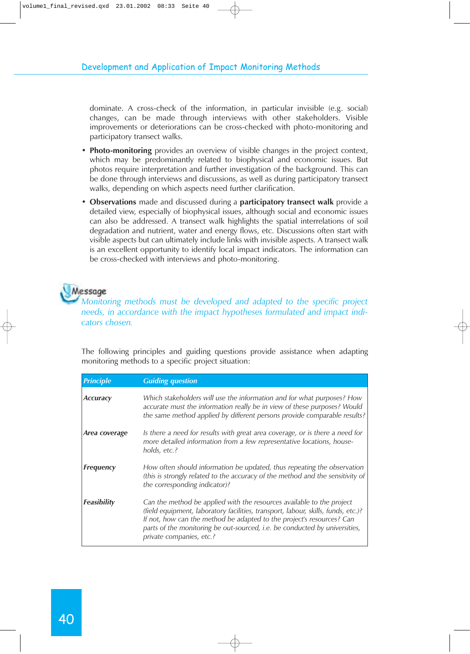dominate. A cross-check of the information, in particular invisible (e.g. social) changes, can be made through interviews with other stakeholders. Visible improvements or deteriorations can be cross-checked with photo-monitoring and participatory transect walks.

- Photo-monitoring provides an overview of visible changes in the project context, which may be predominantly related to biophysical and economic issues. But photos require interpretation and further investigation of the background. This can be done through interviews and discussions, as well as during participatory transect walks, depending on which aspects need further clarification.
- Observations made and discussed during a participatory transect walk provide a detailed view, especially of biophysical issues, although social and economic issues can also be addressed. A transect walk highlights the spatial interrelations of soil degradation and nutrient, water and energy flows, etc. Discussions often start with visible aspects but can ultimately include links with invisible aspects. A transect walk is an excellent opportunity to identify local impact indicators. The information can be cross-checked with interviews and photo-monitoring.

#### Message

Monitoring methods must be developed and adapted to the specific project needs, in accordance with the impact hypotheses formulated and impact indicators chosen.

The following principles and guiding questions provide assistance when adapting monitoring methods to a specific project situation:

| <b>Principle</b> | <b>Guiding question</b>                                                                                                                                                                                                                                                                                                                       |
|------------------|-----------------------------------------------------------------------------------------------------------------------------------------------------------------------------------------------------------------------------------------------------------------------------------------------------------------------------------------------|
| <b>Accuracy</b>  | Which stakeholders will use the information and for what purposes? How<br>accurate must the information really be in view of these purposes? Would<br>the same method applied by different persons provide comparable results?                                                                                                                |
| Area coverage    | Is there a need for results with great area coverage, or is there a need for<br>more detailed information from a few representative locations, house-<br>holds, etc.?                                                                                                                                                                         |
| <b>Frequency</b> | How often should information be updated, thus repeating the observation<br>(this is strongly related to the accuracy of the method and the sensitivity of<br>the corresponding indicator)?                                                                                                                                                    |
| Feasibility      | Can the method be applied with the resources available to the project<br>(field equipment, laboratory facilities, transport, labour, skills, funds, etc.)?<br>If not, how can the method be adapted to the project's resources? Can<br>parts of the monitoring be out-sourced, i.e. be conducted by universities,<br>private companies, etc.? |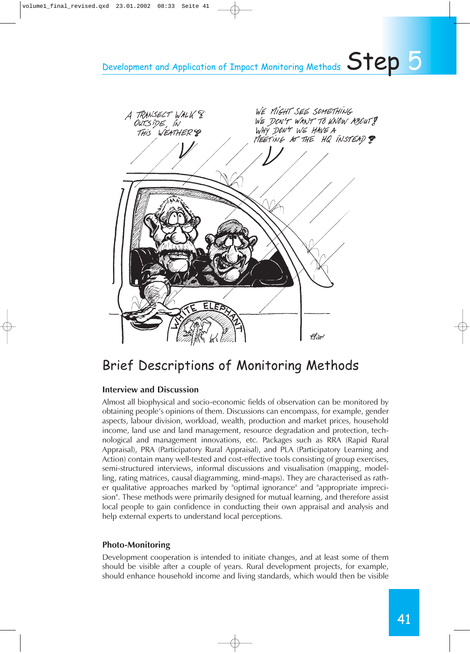# Development and Application of Impact Monitoring Methods **Step 5**



### Brief Descriptions of Monitoring Methods

#### Interview and Discussion

Almost all biophysical and socio-economic fields of observation can be monitored by obtaining people's opinions of them. Discussions can encompass, for example, gender aspects, labour division, workload, wealth, production and market prices, household income, land use and land management, resource degradation and protection, technological and management innovations, etc. Packages such as RRA (Rapid Rural Appraisal), PRA (Participatory Rural Appraisal), and PLA (Participatory Learning and Action) contain many well-tested and cost-effective tools consisting of group exercises, semi-structured interviews, informal discussions and visualisation (mapping, modelling, rating matrices, causal diagramming, mind-maps). They are characterised as rather qualitative approaches marked by "optimal ignorance" and "appropriate imprecision". These methods were primarily designed for mutual learning, and therefore assist local people to gain confidence in conducting their own appraisal and analysis and help external experts to understand local perceptions.

#### Photo-Monitoring

Development cooperation is intended to initiate changes, and at least some of them should be visible after a couple of years. Rural development projects, for example, should enhance household income and living standards, which would then be visible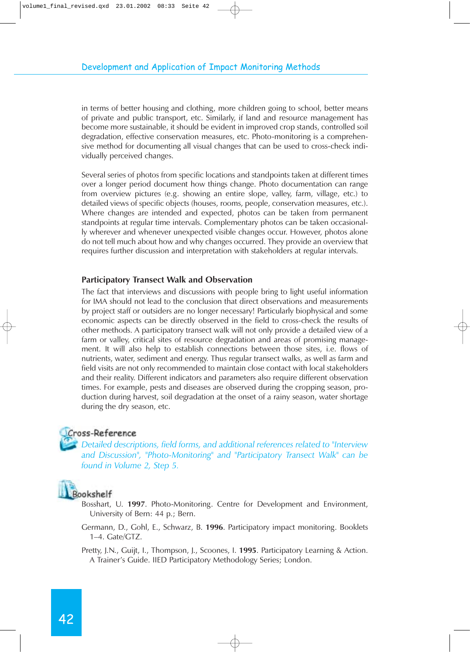in terms of better housing and clothing, more children going to school, better means of private and public transport, etc. Similarly, if land and resource management has become more sustainable, it should be evident in improved crop stands, controlled soil degradation, effective conservation measures, etc. Photo-monitoring is a comprehensive method for documenting all visual changes that can be used to cross-check individually perceived changes.

Several series of photos from specific locations and standpoints taken at different times over a longer period document how things change. Photo documentation can range from overview pictures (e.g. showing an entire slope, valley, farm, village, etc.) to detailed views of specific objects (houses, rooms, people, conservation measures, etc.). Where changes are intended and expected, photos can be taken from permanent standpoints at regular time intervals. Complementary photos can be taken occasionally wherever and whenever unexpected visible changes occur. However, photos alone do not tell much about how and why changes occurred. They provide an overview that requires further discussion and interpretation with stakeholders at regular intervals.

#### Participatory Transect Walk and Observation

The fact that interviews and discussions with people bring to light useful information for IMA should not lead to the conclusion that direct observations and measurements by project staff or outsiders are no longer necessary! Particularly biophysical and some economic aspects can be directly observed in the field to cross-check the results of other methods. A participatory transect walk will not only provide a detailed view of a farm or valley, critical sites of resource degradation and areas of promising management. It will also help to establish connections between those sites, i.e. flows of nutrients, water, sediment and energy. Thus regular transect walks, as well as farm and field visits are not only recommended to maintain close contact with local stakeholders and their reality. Different indicators and parameters also require different observation times. For example, pests and diseases are observed during the cropping season, production during harvest, soil degradation at the onset of a rainy season, water shortage during the dry season, etc.

#### Cross-Reference

Detailed descriptions, field forms, and additional references related to "Interview and Discussion", "Photo-Monitoring" and "Participatory Transect Walk" can be found in Volume 2, Step 5.



Bosshart, U. 1997. Photo-Monitoring. Centre for Development and Environment, University of Bern: 44 p.; Bern.

Germann, D., Gohl, E., Schwarz, B. 1996. Participatory impact monitoring. Booklets 1–4. Gate/GTZ.

Pretty, J.N., Guijt, I., Thompson, J., Scoones, I. 1995. Participatory Learning & Action. A Trainer's Guide. IIED Participatory Methodology Series; London.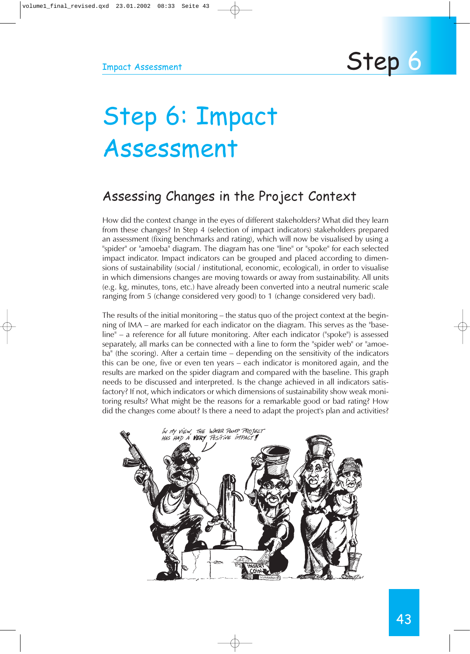# Step 6: Impact Assessment

### Assessing Changes in the Project Context

How did the context change in the eyes of different stakeholders? What did they learn from these changes? In Step 4 (selection of impact indicators) stakeholders prepared an assessment (fixing benchmarks and rating), which will now be visualised by using a "spider" or "amoeba" diagram. The diagram has one "line" or "spoke" for each selected impact indicator. Impact indicators can be grouped and placed according to dimensions of sustainability (social / institutional, economic, ecological), in order to visualise in which dimensions changes are moving towards or away from sustainability. All units (e.g. kg, minutes, tons, etc.) have already been converted into a neutral numeric scale ranging from 5 (change considered very good) to 1 (change considered very bad).

The results of the initial monitoring – the status quo of the project context at the beginning of IMA – are marked for each indicator on the diagram. This serves as the "baseline" – a reference for all future monitoring. After each indicator ("spoke") is assessed separately, all marks can be connected with a line to form the "spider web" or "amoeba" (the scoring). After a certain time – depending on the sensitivity of the indicators this can be one, five or even ten years – each indicator is monitored again, and the results are marked on the spider diagram and compared with the baseline. This graph needs to be discussed and interpreted. Is the change achieved in all indicators satisfactory? If not, which indicators or which dimensions of sustainability show weak monitoring results? What might be the reasons for a remarkable good or bad rating? How did the changes come about? Is there a need to adapt the project's plan and activities?

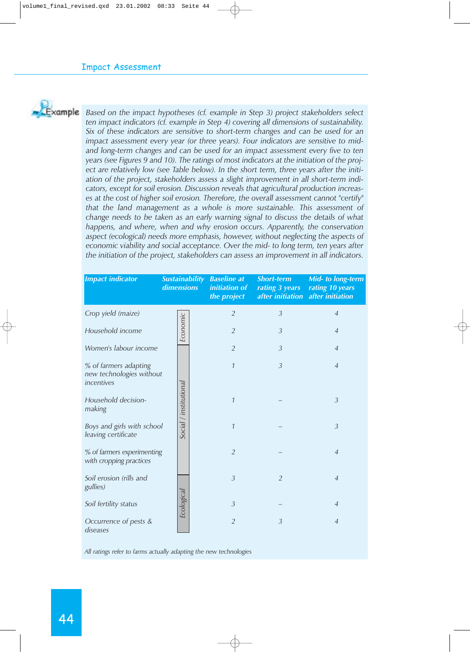

Based on the impact hypotheses (cf. example in Step 3) project stakeholders select ten impact indicators (cf. example in Step 4) covering all dimensions of sustainability. Six of these indicators are sensitive to short-term changes and can be used for an impact assessment every year (or three years). Four indicators are sensitive to midand long-term changes and can be used for an impact assessment every five to ten years (see Figures 9 and 10). The ratings of most indicators at the initiation of the project are relatively low (see Table below). In the short term, three years after the initiation of the project, stakeholders assess a slight improvement in all short-term indicators, except for soil erosion. Discussion reveals that agricultural production increases at the cost of higher soil erosion. Therefore, the overall assessment cannot "certify" that the land management as a whole is more sustainable. This assessment of change needs to be taken as an early warning signal to discuss the details of what happens, and where, when and why erosion occurs. Apparently, the conservation aspect (ecological) needs more emphasis, however, without neglecting the aspects of economic viability and social acceptance. Over the mid- to long term, ten years after the initiation of the project, stakeholders can assess an improvement in all indicators.

| <b>Impact indicator</b>                                         | <b>Sustainability</b><br><b>dimensions</b> | <b>Baseline at</b><br>initiation of<br>the project | <b>Short-term</b><br>rating 3 years<br>after initiation after initiation | Mid- to long-term<br>rating 10 years |
|-----------------------------------------------------------------|--------------------------------------------|----------------------------------------------------|--------------------------------------------------------------------------|--------------------------------------|
| Crop yield (maize)                                              |                                            | $\overline{2}$                                     | $\mathfrak{Z}$                                                           | $\overline{4}$                       |
| Household income                                                | Economic                                   | $\overline{2}$                                     | $\mathfrak{Z}$                                                           | $\overline{4}$                       |
| Women's labour income                                           |                                            | $\overline{2}$                                     | $\mathfrak{Z}$                                                           | $\overline{4}$                       |
| % of farmers adapting<br>new technologies without<br>incentives |                                            | $\mathcal{I}$                                      | $\mathfrak{Z}$                                                           | $\overline{4}$                       |
| Household decision-<br>making                                   | Social / institutional                     | $\mathcal{I}$                                      |                                                                          | $\mathfrak{Z}$                       |
| Boys and girls with school<br>leaving certificate               |                                            | $\mathcal{I}$                                      |                                                                          | 3                                    |
| % of farmers experimenting<br>with cropping practices           |                                            | $\overline{2}$                                     |                                                                          | $\overline{4}$                       |
| Soil erosion (rills and<br>gullies)                             |                                            | 3                                                  | $\overline{2}$                                                           | $\overline{4}$                       |
| Soil fertility status                                           | Ecological                                 | $\mathfrak{Z}$                                     |                                                                          | $\overline{4}$                       |
| Occurrence of pests &<br>diseases                               |                                            | $\overline{2}$                                     | 3                                                                        | $\overline{4}$                       |

All ratings refer to farms actually adapting the new technologies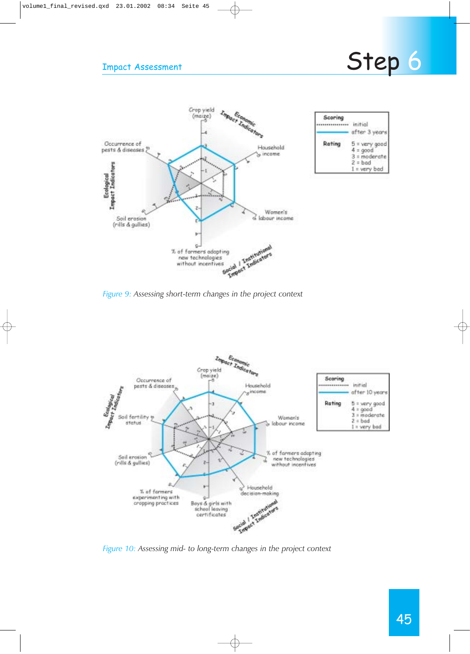#### Impact Assessment

# Step 6



| Scoring | initial<br><b>Trans</b>    |
|---------|----------------------------|
| Ratin   | = moder<br>$=$ bod<br>very |

Figure 9: Assessing short-term changes in the project context



Figure 10: Assessing mid- to long-term changes in the project context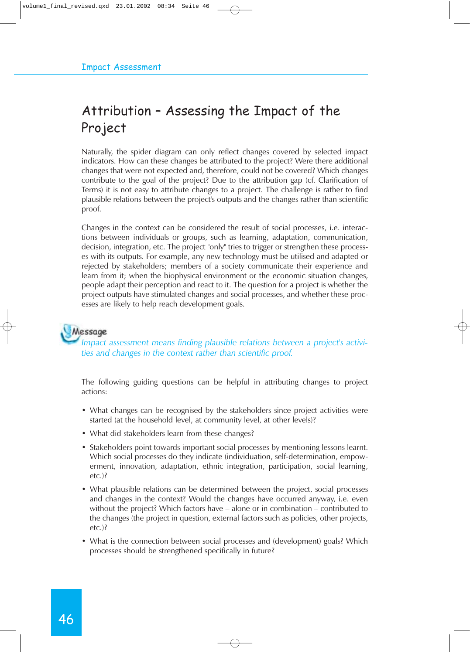### Attribution – Assessing the Impact of the Project

Naturally, the spider diagram can only reflect changes covered by selected impact indicators. How can these changes be attributed to the project? Were there additional changes that were not expected and, therefore, could not be covered? Which changes contribute to the goal of the project? Due to the attribution gap (cf. Clarification of Terms) it is not easy to attribute changes to a project. The challenge is rather to find plausible relations between the project's outputs and the changes rather than scientific proof.

Changes in the context can be considered the result of social processes, i.e. interactions between individuals or groups, such as learning, adaptation, communication, decision, integration, etc. The project "only" tries to trigger or strengthen these processes with its outputs. For example, any new technology must be utilised and adapted or rejected by stakeholders; members of a society communicate their experience and learn from it; when the biophysical environment or the economic situation changes, people adapt their perception and react to it. The question for a project is whether the project outputs have stimulated changes and social processes, and whether these processes are likely to help reach development goals.

### Message

Impact assessment means finding plausible relations between a project's activities and changes in the context rather than scientific proof.

The following guiding questions can be helpful in attributing changes to project actions:

- What changes can be recognised by the stakeholders since project activities were started (at the household level, at community level, at other levels)?
- What did stakeholders learn from these changes?
- Stakeholders point towards important social processes by mentioning lessons learnt. Which social processes do they indicate (individuation, self-determination, empowerment, innovation, adaptation, ethnic integration, participation, social learning, etc.)?
- What plausible relations can be determined between the project, social processes and changes in the context? Would the changes have occurred anyway, i.e. even without the project? Which factors have – alone or in combination – contributed to the changes (the project in question, external factors such as policies, other projects, etc.)?
- What is the connection between social processes and (development) goals? Which processes should be strengthened specifically in future?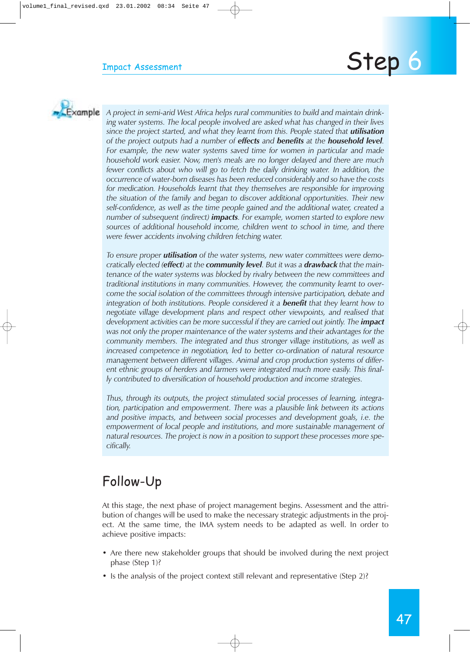

A project in semi-arid West Africa helps rural communities to build and maintain drinking water systems. The local people involved are asked what has changed in their lives since the project started, and what they learnt from this. People stated that **utilisation** of the project outputs had a number of **effects** and **benefits** at the **household level**. For example, the new water systems saved time for women in particular and made household work easier. Now, men's meals are no longer delayed and there are much fewer conflicts about who will go to fetch the daily drinking water. In addition, the occurrence of water-born diseases has been reduced considerably and so have the costs for medication. Households learnt that they themselves are responsible for improving the situation of the family and began to discover additional opportunities. Their new self-confidence, as well as the time people gained and the additional water, created a number of subsequent (indirect) **impacts**. For example, women started to explore new sources of additional household income, children went to school in time, and there were fewer accidents involving children fetching water.

To ensure proper **utilisation** of the water systems, new water committees were democratically elected (**effect**) at the **community level**. But it was a **drawback** that the maintenance of the water systems was blocked by rivalry between the new committees and traditional institutions in many communities. However, the community learnt to overcome the social isolation of the committees through intensive participation, debate and integration of both institutions. People considered it a **benefit** that they learnt how to negotiate village development plans and respect other viewpoints, and realised that development activities can be more successful if they are carried out jointly. The *impact* was not only the proper maintenance of the water systems and their advantages for the community members. The integrated and thus stronger village institutions, as well as increased competence in negotiation, led to better co-ordination of natural resource management between different villages. Animal and crop production systems of different ethnic groups of herders and farmers were integrated much more easily. This finally contributed to diversification of household production and income strategies.

Thus, through its outputs, the project stimulated social processes of learning, integration, participation and empowerment. There was a plausible link between its actions and positive impacts, and between social processes and development goals, i.e. the empowerment of local people and institutions, and more sustainable management of natural resources. The project is now in a position to support these processes more specifically.

# Follow-Up

At this stage, the next phase of project management begins. Assessment and the attribution of changes will be used to make the necessary strategic adjustments in the project. At the same time, the IMA system needs to be adapted as well. In order to achieve positive impacts:

- Are there new stakeholder groups that should be involved during the next project phase (Step 1)?
- Is the analysis of the project context still relevant and representative (Step 2)?